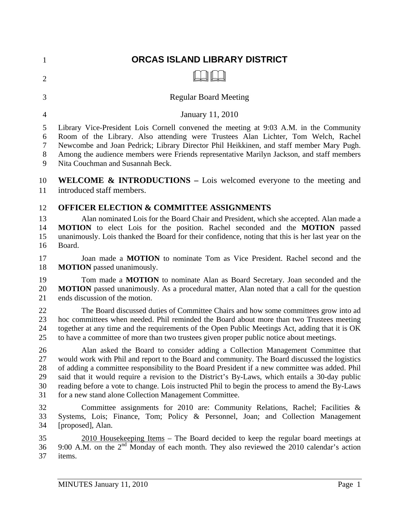| $\overline{2}$<br><b>Regular Board Meeting</b><br>3<br>January 11, 2010<br>$\overline{4}$<br>5<br>6<br>7<br>8<br>Nita Couchman and Susannah Beck.<br>9<br>10<br>introduced staff members.<br>11<br><b>OFFICER ELECTION &amp; COMMITTEE ASSIGNMENTS</b><br>12<br>13<br>14<br>15<br>Board.<br>16<br>17<br><b>MOTION</b> passed unanimously.<br>18<br>19<br>20<br>ends discussion of the motion.<br>21<br>22<br>23<br>24<br>25<br>to have a committee of more than two trustees given proper public notice about meetings.<br>26<br>27<br>28<br>29<br>30<br>31<br>for a new stand alone Collection Management Committee.<br>32<br>33<br>34<br>[proposed], Alan.<br>35<br>36<br>37<br>items. | $\mathbf{1}$ | ORCAS ISLAND LIBRARY DISTRICT                                                                                                                                                                                                                                                                                                                                                                                                                                                          |
|------------------------------------------------------------------------------------------------------------------------------------------------------------------------------------------------------------------------------------------------------------------------------------------------------------------------------------------------------------------------------------------------------------------------------------------------------------------------------------------------------------------------------------------------------------------------------------------------------------------------------------------------------------------------------------------|--------------|----------------------------------------------------------------------------------------------------------------------------------------------------------------------------------------------------------------------------------------------------------------------------------------------------------------------------------------------------------------------------------------------------------------------------------------------------------------------------------------|
|                                                                                                                                                                                                                                                                                                                                                                                                                                                                                                                                                                                                                                                                                          |              |                                                                                                                                                                                                                                                                                                                                                                                                                                                                                        |
|                                                                                                                                                                                                                                                                                                                                                                                                                                                                                                                                                                                                                                                                                          |              |                                                                                                                                                                                                                                                                                                                                                                                                                                                                                        |
|                                                                                                                                                                                                                                                                                                                                                                                                                                                                                                                                                                                                                                                                                          |              |                                                                                                                                                                                                                                                                                                                                                                                                                                                                                        |
|                                                                                                                                                                                                                                                                                                                                                                                                                                                                                                                                                                                                                                                                                          |              | Library Vice-President Lois Cornell convened the meeting at 9:03 A.M. in the Community<br>Room of the Library. Also attending were Trustees Alan Lichter, Tom Welch, Rachel<br>Newcombe and Joan Pedrick; Library Director Phil Heikkinen, and staff member Mary Pugh.<br>Among the audience members were Friends representative Marilyn Jackson, and staff members                                                                                                                    |
|                                                                                                                                                                                                                                                                                                                                                                                                                                                                                                                                                                                                                                                                                          |              | <b>WELCOME &amp; INTRODUCTIONS</b> – Lois welcomed everyone to the meeting and                                                                                                                                                                                                                                                                                                                                                                                                         |
|                                                                                                                                                                                                                                                                                                                                                                                                                                                                                                                                                                                                                                                                                          |              | Alan nominated Lois for the Board Chair and President, which she accepted. Alan made a<br>MOTION to elect Lois for the position. Rachel seconded and the MOTION passed<br>unanimously. Lois thanked the Board for their confidence, noting that this is her last year on the                                                                                                                                                                                                           |
|                                                                                                                                                                                                                                                                                                                                                                                                                                                                                                                                                                                                                                                                                          |              | Joan made a <b>MOTION</b> to nominate Tom as Vice President. Rachel second and the                                                                                                                                                                                                                                                                                                                                                                                                     |
|                                                                                                                                                                                                                                                                                                                                                                                                                                                                                                                                                                                                                                                                                          |              | Tom made a <b>MOTION</b> to nominate Alan as Board Secretary. Joan seconded and the<br><b>MOTION</b> passed unanimously. As a procedural matter, Alan noted that a call for the question                                                                                                                                                                                                                                                                                               |
|                                                                                                                                                                                                                                                                                                                                                                                                                                                                                                                                                                                                                                                                                          |              | The Board discussed duties of Committee Chairs and how some committees grow into ad<br>hoc committees when needed. Phil reminded the Board about more than two Trustees meeting<br>together at any time and the requirements of the Open Public Meetings Act, adding that it is OK                                                                                                                                                                                                     |
|                                                                                                                                                                                                                                                                                                                                                                                                                                                                                                                                                                                                                                                                                          |              | Alan asked the Board to consider adding a Collection Management Committee that<br>would work with Phil and report to the Board and community. The Board discussed the logistics<br>of adding a committee responsibility to the Board President if a new committee was added. Phil<br>said that it would require a revision to the District's By-Laws, which entails a 30-day public<br>reading before a vote to change. Lois instructed Phil to begin the process to amend the By-Laws |
|                                                                                                                                                                                                                                                                                                                                                                                                                                                                                                                                                                                                                                                                                          |              | Committee assignments for 2010 are: Community Relations, Rachel; Facilities &<br>Systems, Lois; Finance, Tom; Policy & Personnel, Joan; and Collection Management                                                                                                                                                                                                                                                                                                                      |
|                                                                                                                                                                                                                                                                                                                                                                                                                                                                                                                                                                                                                                                                                          |              | $2010$ Housekeeping Items – The Board decided to keep the regular board meetings at<br>9:00 A.M. on the $2nd$ Monday of each month. They also reviewed the 2010 calendar's action                                                                                                                                                                                                                                                                                                      |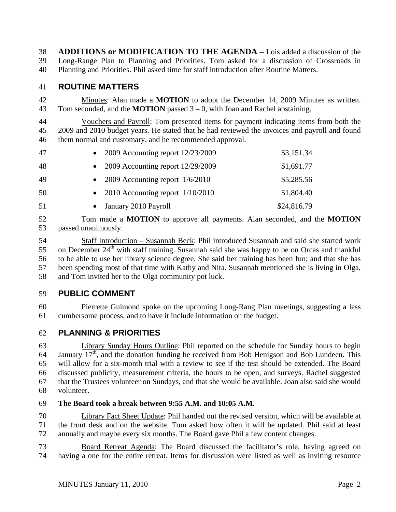38 **ADDITIONS or MODIFICATION TO THE AGENDA –** Lois added a discussion of the 39 Long-Range Plan to Planning and Priorities. Tom asked for a discussion of Crossroads in 40 Planning and Priorities. Phil asked time for staff introduction after Routine Matters.

## 41 **ROUTINE MATTERS**

42 Minutes: Alan made a **MOTION** to adopt the December 14, 2009 Minutes as written. 43 Tom seconded, and the **MOTION** passed 3 – 0, with Joan and Rachel abstaining.

44 Vouchers and Payroll: Tom presented items for payment indicating items from both the 45 2009 and 2010 budget years. He stated that he had reviewed the invoices and payroll and found 46 them normal and customary, and he recommended approval.

| 47 | • 2009 Accounting report $12/23/2009$ | \$3,151.34  |
|----|---------------------------------------|-------------|
| 48 | • 2009 Accounting report $12/29/2009$ | \$1,691.77  |
| 49 | • 2009 Accounting report $1/6/2010$   | \$5,285.56  |
| 50 | • 2010 Accounting report $1/10/2010$  | \$1,804.40  |
| 51 | January 2010 Payroll                  | \$24,816.79 |

52 Tom made a **MOTION** to approve all payments. Alan seconded, and the **MOTION**  53 passed unanimously.

54 Staff Introduction – Susannah Beck: Phil introduced Susannah and said she started work 55 on December  $24<sup>th</sup>$  with staff training. Susannah said she was happy to be on Orcas and thankful 56 to be able to use her library science degree. She said her training has been fun; and that she has 57 been spending most of that time with Kathy and Nita. Susannah mentioned she is living in Olga, 58 and Tom invited her to the Olga community pot luck.

## 59 **PUBLIC COMMENT**

60 Pierrette Guimond spoke on the upcoming Long-Rang Plan meetings, suggesting a less 61 cumbersome process, and to have it include information on the budget.

## 62 **PLANNING & PRIORITIES**

63 Library Sunday Hours Outline: Phil reported on the schedule for Sunday hours to begin 64 January  $17<sup>th</sup>$ , and the donation funding he received from Bob Henigson and Bob Lundeen. This 65 will allow for a six-month trial with a review to see if the test should be extended. The Board 66 discussed publicity, measurement criteria, the hours to be open, and surveys. Rachel suggested 67 that the Trustees volunteer on Sundays, and that she would be available. Joan also said she would 68 volunteer.

#### 69 **The Board took a break between 9:55 A.M. and 10:05 A.M.**

70 Library Fact Sheet Update: Phil handed out the revised version, which will be available at 71 the front desk and on the website. Tom asked how often it will be updated. Phil said at least 72 annually and maybe every six months. The Board gave Phil a few content changes.

73 Board Retreat Agenda: The Board discussed the facilitator's role, having agreed on 74 having a one for the entire retreat. Items for discussion were listed as well as inviting resource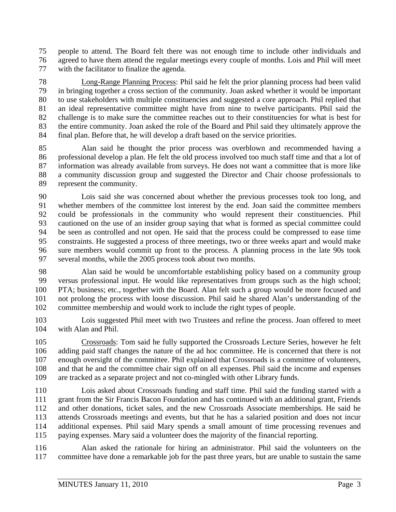75 people to attend. The Board felt there was not enough time to include other individuals and 76 agreed to have them attend the regular meetings every couple of months. Lois and Phil will meet 77 with the facilitator to finalize the agenda.

78 Long-Range Planning Process: Phil said he felt the prior planning process had been valid 79 in bringing together a cross section of the community. Joan asked whether it would be important 80 to use stakeholders with multiple constituencies and suggested a core approach. Phil replied that 81 an ideal representative committee might have from nine to twelve participants. Phil said the 82 challenge is to make sure the committee reaches out to their constituencies for what is best for 83 the entire community. Joan asked the role of the Board and Phil said they ultimately approve the 84 final plan. Before that, he will develop a draft based on the service priorities.

85 Alan said he thought the prior process was overblown and recommended having a 86 professional develop a plan. He felt the old process involved too much staff time and that a lot of 87 information was already available from surveys. He does not want a committee that is more like 88 a community discussion group and suggested the Director and Chair choose professionals to 89 represent the community.

90 Lois said she was concerned about whether the previous processes took too long, and 91 whether members of the committee lost interest by the end. Joan said the committee members 92 could be professionals in the community who would represent their constituencies. Phil 93 cautioned on the use of an insider group saying that what is formed as special committee could 94 be seen as controlled and not open. He said that the process could be compressed to ease time 95 constraints. He suggested a process of three meetings, two or three weeks apart and would make 96 sure members would commit up front to the process. A planning process in the late 90s took 97 several months, while the 2005 process took about two months.

98 Alan said he would be uncomfortable establishing policy based on a community group 99 versus professional input. He would like representatives from groups such as the high school; 100 PTA; business; etc., together with the Board. Alan felt such a group would be more focused and 101 not prolong the process with loose discussion. Phil said he shared Alan's understanding of the 102 committee membership and would work to include the right types of people.

103 Lois suggested Phil meet with two Trustees and refine the process. Joan offered to meet 104 with Alan and Phil.

105 Crossroads: Tom said he fully supported the Crossroads Lecture Series, however he felt 106 adding paid staff changes the nature of the ad hoc committee. He is concerned that there is not 107 enough oversight of the committee. Phil explained that Crossroads is a committee of volunteers, 108 and that he and the committee chair sign off on all expenses. Phil said the income and expenses 109 are tracked as a separate project and not co-mingled with other Library funds.

110 Lois asked about Crossroads funding and staff time. Phil said the funding started with a 111 grant from the Sir Francis Bacon Foundation and has continued with an additional grant, Friends 112 and other donations, ticket sales, and the new Crossroads Associate memberships. He said he 113 attends Crossroads meetings and events, but that he has a salaried position and does not incur 114 additional expenses. Phil said Mary spends a small amount of time processing revenues and 115 paying expenses. Mary said a volunteer does the majority of the financial reporting.

116 Alan asked the rationale for hiring an administrator. Phil said the volunteers on the 117 committee have done a remarkable job for the past three years, but are unable to sustain the same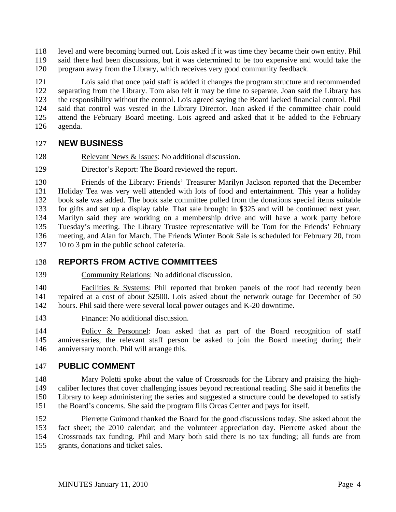118 level and were becoming burned out. Lois asked if it was time they became their own entity. Phil 119 said there had been discussions, but it was determined to be too expensive and would take the 120 program away from the Library, which receives very good community feedback.

121 Lois said that once paid staff is added it changes the program structure and recommended 122 separating from the Library. Tom also felt it may be time to separate. Joan said the Library has 123 the responsibility without the control. Lois agreed saying the Board lacked financial control. Phil 124 said that control was vested in the Library Director. Joan asked if the committee chair could 125 attend the February Board meeting. Lois agreed and asked that it be added to the February 126 agenda.

# 127 **NEW BUSINESS**

- 128 Relevant News & Issues: No additional discussion.
- 129 Director's Report: The Board reviewed the report.

130 Friends of the Library: Friends' Treasurer Marilyn Jackson reported that the December 131 Holiday Tea was very well attended with lots of food and entertainment. This year a holiday 132 book sale was added. The book sale committee pulled from the donations special items suitable 133 for gifts and set up a display table. That sale brought in \$325 and will be continued next year. 134 Marilyn said they are working on a membership drive and will have a work party before 135 Tuesday's meeting. The Library Trustee representative will be Tom for the Friends' February 136 meeting, and Alan for March. The Friends Winter Book Sale is scheduled for February 20, from 137 10 to 3 pm in the public school cafeteria.

# 138 **REPORTS FROM ACTIVE COMMITTEES**

139 Community Relations: No additional discussion.

140 Facilities & Systems: Phil reported that broken panels of the roof had recently been 141 repaired at a cost of about \$2500. Lois asked about the network outage for December of 50 142 hours. Phil said there were several local power outages and K-20 downtime.

143 Finance: No additional discussion.

144 Policy & Personnel: Joan asked that as part of the Board recognition of staff 145 anniversaries, the relevant staff person be asked to join the Board meeting during their 146 anniversary month. Phil will arrange this.

# 147 **PUBLIC COMMENT**

148 Mary Poletti spoke about the value of Crossroads for the Library and praising the high-149 caliber lectures that cover challenging issues beyond recreational reading. She said it benefits the 150 Library to keep administering the series and suggested a structure could be developed to satisfy 151 the Board's concerns. She said the program fills Orcas Center and pays for itself.

152 Pierrette Guimond thanked the Board for the good discussions today. She asked about the 153 fact sheet; the 2010 calendar; and the volunteer appreciation day. Pierrette asked about the 154 Crossroads tax funding. Phil and Mary both said there is no tax funding; all funds are from 155 grants, donations and ticket sales.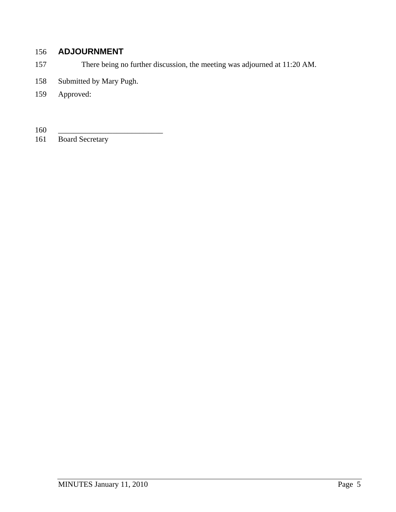# 156 **ADJOURNMENT**

- 157 There being no further discussion, the meeting was adjourned at 11:20 AM.
- 158 Submitted by Mary Pugh.
- 159 Approved:

 $\frac{160}{161}$ 

Board Secretary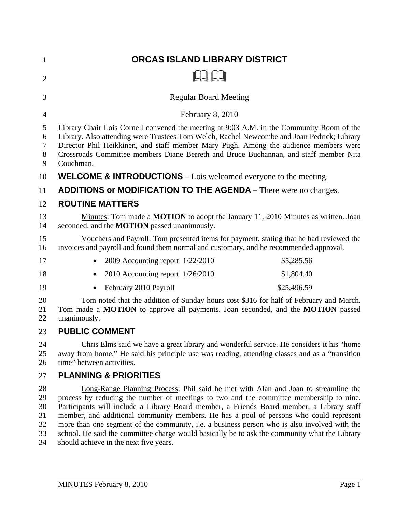| $\mathbf{1}$               | ORCAS ISLAND LIBRARY DISTRICT                                                                                                                                                                                                                                                                                                                                                                                                                                        |  |
|----------------------------|----------------------------------------------------------------------------------------------------------------------------------------------------------------------------------------------------------------------------------------------------------------------------------------------------------------------------------------------------------------------------------------------------------------------------------------------------------------------|--|
| $\overline{2}$             |                                                                                                                                                                                                                                                                                                                                                                                                                                                                      |  |
| 3                          | <b>Regular Board Meeting</b>                                                                                                                                                                                                                                                                                                                                                                                                                                         |  |
| 4                          | February 8, 2010                                                                                                                                                                                                                                                                                                                                                                                                                                                     |  |
| 5<br>6<br>7<br>8<br>9      | Library Chair Lois Cornell convened the meeting at 9:03 A.M. in the Community Room of the<br>Library. Also attending were Trustees Tom Welch, Rachel Newcombe and Joan Pedrick; Library<br>Director Phil Heikkinen, and staff member Mary Pugh. Among the audience members were<br>Crossroads Committee members Diane Berreth and Bruce Buchannan, and staff member Nita<br>Couchman.                                                                                |  |
| 10                         | <b>WELCOME &amp; INTRODUCTIONS</b> – Lois welcomed everyone to the meeting.                                                                                                                                                                                                                                                                                                                                                                                          |  |
| 11                         | ADDITIONS or MODIFICATION TO THE AGENDA - There were no changes.                                                                                                                                                                                                                                                                                                                                                                                                     |  |
| 12                         | <b>ROUTINE MATTERS</b>                                                                                                                                                                                                                                                                                                                                                                                                                                               |  |
| 13<br>14                   | Minutes: Tom made a <b>MOTION</b> to adopt the January 11, 2010 Minutes as written. Joan<br>seconded, and the <b>MOTION</b> passed unanimously.                                                                                                                                                                                                                                                                                                                      |  |
| 15<br>16                   | Vouchers and Payroll: Tom presented items for payment, stating that he had reviewed the<br>invoices and payroll and found them normal and customary, and he recommended approval.                                                                                                                                                                                                                                                                                    |  |
| 17                         | 2009 Accounting report 1/22/2010<br>\$5,285.56                                                                                                                                                                                                                                                                                                                                                                                                                       |  |
| 18                         | 2010 Accounting report 1/26/2010<br>\$1,804.40                                                                                                                                                                                                                                                                                                                                                                                                                       |  |
| 19                         | February 2010 Payroll<br>\$25,496.59                                                                                                                                                                                                                                                                                                                                                                                                                                 |  |
| 20<br>21<br>22             | Tom noted that the addition of Sunday hours cost \$316 for half of February and March.<br>Tom made a MOTION to approve all payments. Joan seconded, and the MOTION passed<br>unanimously.                                                                                                                                                                                                                                                                            |  |
| 23                         | <b>PUBLIC COMMENT</b>                                                                                                                                                                                                                                                                                                                                                                                                                                                |  |
| 24<br>25<br>26             | Chris Elms said we have a great library and wonderful service. He considers it his "home<br>away from home." He said his principle use was reading, attending classes and as a "transition"<br>time" between activities.                                                                                                                                                                                                                                             |  |
| 27                         | <b>PLANNING &amp; PRIORITIES</b>                                                                                                                                                                                                                                                                                                                                                                                                                                     |  |
| 28<br>29<br>30<br>31<br>32 | Long-Range Planning Process: Phil said he met with Alan and Joan to streamline the<br>process by reducing the number of meetings to two and the committee membership to nine.<br>Participants will include a Library Board member, a Friends Board member, a Library staff<br>member, and additional community members. He has a pool of persons who could represent<br>more than one segment of the community, i.e. a business person who is also involved with the |  |

33 school. He said the committee charge would basically be to ask the community what the Library 34 should achieve in the next five years.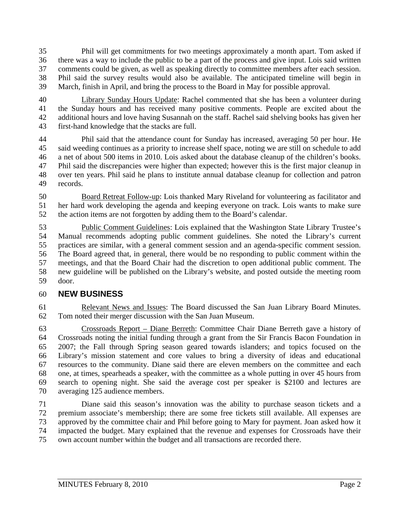35 Phil will get commitments for two meetings approximately a month apart. Tom asked if 36 there was a way to include the public to be a part of the process and give input. Lois said written 37 comments could be given, as well as speaking directly to committee members after each session. 38 Phil said the survey results would also be available. The anticipated timeline will begin in 39 March, finish in April, and bring the process to the Board in May for possible approval.

40 Library Sunday Hours Update: Rachel commented that she has been a volunteer during 41 the Sunday hours and has received many positive comments. People are excited about the 42 additional hours and love having Susannah on the staff. Rachel said shelving books has given her 43 first-hand knowledge that the stacks are full.

44 Phil said that the attendance count for Sunday has increased, averaging 50 per hour. He 45 said weeding continues as a priority to increase shelf space, noting we are still on schedule to add 46 a net of about 500 items in 2010. Lois asked about the database cleanup of the children's books. 47 Phil said the discrepancies were higher than expected; however this is the first major cleanup in 48 over ten years. Phil said he plans to institute annual database cleanup for collection and patron 49 records.

50 Board Retreat Follow-up: Lois thanked Mary Riveland for volunteering as facilitator and 51 her hard work developing the agenda and keeping everyone on track. Lois wants to make sure 52 the action items are not forgotten by adding them to the Board's calendar.

53 Public Comment Guidelines: Lois explained that the Washington State Library Trustee's 54 Manual recommends adopting public comment guidelines. She noted the Library's current 55 practices are similar, with a general comment session and an agenda-specific comment session. 56 The Board agreed that, in general, there would be no responding to public comment within the 57 meetings, and that the Board Chair had the discretion to open additional public comment. The 58 new guideline will be published on the Library's website, and posted outside the meeting room 59 door.

## 60 **NEW BUSINESS**

61 Relevant News and Issues: The Board discussed the San Juan Library Board Minutes. 62 Tom noted their merger discussion with the San Juan Museum.

63 Crossroads Report – Diane Berreth: Committee Chair Diane Berreth gave a history of 64 Crossroads noting the initial funding through a grant from the Sir Francis Bacon Foundation in 65 2007; the Fall through Spring season geared towards islanders; and topics focused on the 66 Library's mission statement and core values to bring a diversity of ideas and educational 67 resources to the community. Diane said there are eleven members on the committee and each 68 one, at times, spearheads a speaker, with the committee as a whole putting in over 45 hours from 69 search to opening night. She said the average cost per speaker is \$2100 and lectures are 70 averaging 125 audience members.

71 Diane said this season's innovation was the ability to purchase season tickets and a 72 premium associate's membership; there are some free tickets still available. All expenses are 73 approved by the committee chair and Phil before going to Mary for payment. Joan asked how it 74 impacted the budget. Mary explained that the revenue and expenses for Crossroads have their 75 own account number within the budget and all transactions are recorded there.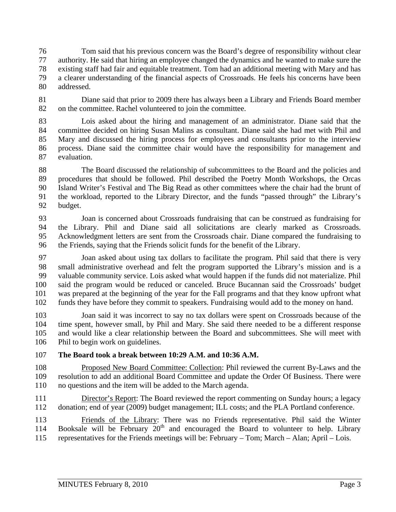76 Tom said that his previous concern was the Board's degree of responsibility without clear 77 authority. He said that hiring an employee changed the dynamics and he wanted to make sure the 78 existing staff had fair and equitable treatment. Tom had an additional meeting with Mary and has 79 a clearer understanding of the financial aspects of Crossroads. He feels his concerns have been 80 addressed.

81 Diane said that prior to 2009 there has always been a Library and Friends Board member 82 on the committee. Rachel volunteered to join the committee.

83 Lois asked about the hiring and management of an administrator. Diane said that the 84 committee decided on hiring Susan Malins as consultant. Diane said she had met with Phil and 85 Mary and discussed the hiring process for employees and consultants prior to the interview 86 process. Diane said the committee chair would have the responsibility for management and 87 evaluation.

88 The Board discussed the relationship of subcommittees to the Board and the policies and 89 procedures that should be followed. Phil described the Poetry Month Workshops, the Orcas 90 Island Writer's Festival and The Big Read as other committees where the chair had the brunt of 91 the workload, reported to the Library Director, and the funds "passed through" the Library's 92 budget.

93 Joan is concerned about Crossroads fundraising that can be construed as fundraising for 94 the Library. Phil and Diane said all solicitations are clearly marked as Crossroads. 95 Acknowledgment letters are sent from the Crossroads chair. Diane compared the fundraising to 96 the Friends, saying that the Friends solicit funds for the benefit of the Library.

97 Joan asked about using tax dollars to facilitate the program. Phil said that there is very 98 small administrative overhead and felt the program supported the Library's mission and is a 99 valuable community service. Lois asked what would happen if the funds did not materialize. Phil 100 said the program would be reduced or canceled. Bruce Bucannan said the Crossroads' budget 101 was prepared at the beginning of the year for the Fall programs and that they know upfront what 102 funds they have before they commit to speakers. Fundraising would add to the money on hand.

103 Joan said it was incorrect to say no tax dollars were spent on Crossroads because of the 104 time spent, however small, by Phil and Mary. She said there needed to be a different response 105 and would like a clear relationship between the Board and subcommittees. She will meet with 106 Phil to begin work on guidelines.

107 **The Board took a break between 10:29 A.M. and 10:36 A.M.** 

108 Proposed New Board Committee: Collection: Phil reviewed the current By-Laws and the 109 resolution to add an additional Board Committee and update the Order Of Business. There were 110 no questions and the item will be added to the March agenda.

111 Director's Report: The Board reviewed the report commenting on Sunday hours; a legacy 112 donation; end of year (2009) budget management; ILL costs; and the PLA Portland conference.

113 Friends of the Library: There was no Friends representative. Phil said the Winter 114 Booksale will be February  $20<sup>th</sup>$  and encouraged the Board to volunteer to help. Library 115 representatives for the Friends meetings will be: February – Tom; March – Alan; April – Lois.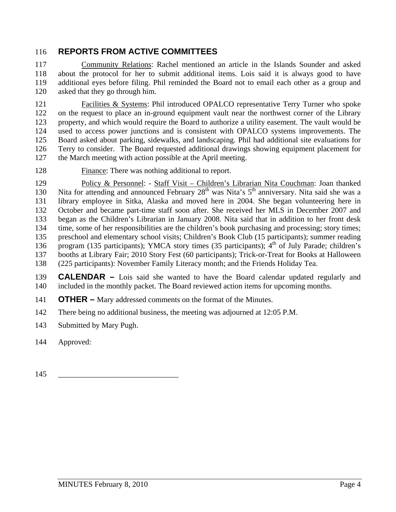## 116 **REPORTS FROM ACTIVE COMMITTEES**

117 Community Relations: Rachel mentioned an article in the Islands Sounder and asked 118 about the protocol for her to submit additional items. Lois said it is always good to have 119 additional eyes before filing. Phil reminded the Board not to email each other as a group and 120 asked that they go through him.

121 Facilities & Systems: Phil introduced OPALCO representative Terry Turner who spoke 122 on the request to place an in-ground equipment vault near the northwest corner of the Library 123 property, and which would require the Board to authorize a utility easement. The vault would be 124 used to access power junctions and is consistent with OPALCO systems improvements. The 125 Board asked about parking, sidewalks, and landscaping. Phil had additional site evaluations for 126 Terry to consider. The Board requested additional drawings showing equipment placement for 127 the March meeting with action possible at the April meeting.

128 Finance: There was nothing additional to report.

129 Policy & Personnel: - Staff Visit – Children's Librarian Nita Couchman: Joan thanked Nita for attending and announced February 28<sup>th</sup> was Nita's 5<sup>th</sup> anniversary. Nita said she was a 131 library employee in Sitka, Alaska and moved here in 2004. She began volunteering here in 132 October and became part-time staff soon after. She received her MLS in December 2007 and 133 began as the Children's Librarian in January 2008. Nita said that in addition to her front desk 134 time, some of her responsibilities are the children's book purchasing and processing; story times; 135 preschool and elementary school visits; Children's Book Club (15 participants); summer reading 136 program (135 participants); YMCA story times (35 participants);  $4<sup>th</sup>$  of July Parade; children's 137 booths at Library Fair; 2010 Story Fest (60 participants); Trick-or-Treat for Books at Halloween 138 (225 participants): November Family Literacy month; and the Friends Holiday Tea.

139 **CALENDAR –** Lois said she wanted to have the Board calendar updated regularly and 140 included in the monthly packet. The Board reviewed action items for upcoming months.

141 **OTHER –** Mary addressed comments on the format of the Minutes.

- 142 There being no additional business, the meeting was adjourned at 12:05 P.M.
- 143 Submitted by Mary Pugh.
- 144 Approved:
- 145 \_\_\_\_\_\_\_\_\_\_\_\_\_\_\_\_\_\_\_\_\_\_\_\_\_\_\_\_\_\_\_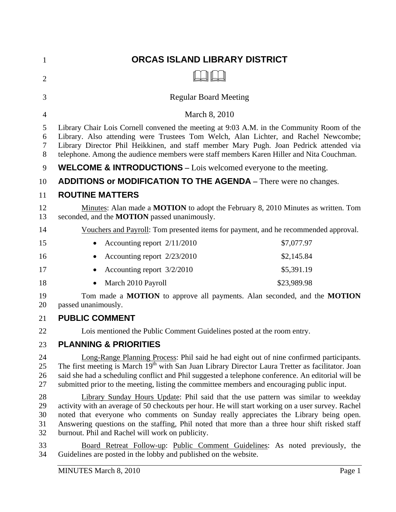| $\mathbf{1}$               | ORCAS ISLAND LIBRARY DISTRICT                                                                                                                                                                                                                                                                                                                                                                                                          |  |
|----------------------------|----------------------------------------------------------------------------------------------------------------------------------------------------------------------------------------------------------------------------------------------------------------------------------------------------------------------------------------------------------------------------------------------------------------------------------------|--|
| $\overline{2}$             |                                                                                                                                                                                                                                                                                                                                                                                                                                        |  |
| 3                          | <b>Regular Board Meeting</b>                                                                                                                                                                                                                                                                                                                                                                                                           |  |
| 4                          | March 8, 2010                                                                                                                                                                                                                                                                                                                                                                                                                          |  |
| 5<br>6<br>7<br>8           | Library Chair Lois Cornell convened the meeting at 9:03 A.M. in the Community Room of the<br>Library. Also attending were Trustees Tom Welch, Alan Lichter, and Rachel Newcombe;<br>Library Director Phil Heikkinen, and staff member Mary Pugh. Joan Pedrick attended via<br>telephone. Among the audience members were staff members Karen Hiller and Nita Couchman.                                                                 |  |
| 9                          | <b>WELCOME &amp; INTRODUCTIONS</b> – Lois welcomed everyone to the meeting.                                                                                                                                                                                                                                                                                                                                                            |  |
| 10                         | <b>ADDITIONS or MODIFICATION TO THE AGENDA</b> – There were no changes.                                                                                                                                                                                                                                                                                                                                                                |  |
| 11                         | <b>ROUTINE MATTERS</b>                                                                                                                                                                                                                                                                                                                                                                                                                 |  |
| 12<br>13                   | Minutes: Alan made a <b>MOTION</b> to adopt the February 8, 2010 Minutes as written. Tom<br>seconded, and the <b>MOTION</b> passed unanimously.                                                                                                                                                                                                                                                                                        |  |
| 14                         | Vouchers and Payroll: Tom presented items for payment, and he recommended approval.                                                                                                                                                                                                                                                                                                                                                    |  |
| 15                         | \$7,077.97<br>Accounting report $2/11/2010$                                                                                                                                                                                                                                                                                                                                                                                            |  |
| 16                         | Accounting report 2/23/2010<br>\$2,145.84<br>٠                                                                                                                                                                                                                                                                                                                                                                                         |  |
| 17                         | \$5,391.19<br>Accounting report 3/2/2010                                                                                                                                                                                                                                                                                                                                                                                               |  |
| 18                         | March 2010 Payroll<br>\$23,989.98                                                                                                                                                                                                                                                                                                                                                                                                      |  |
| 19<br>20                   | Tom made a MOTION to approve all payments. Alan seconded, and the MOTION<br>passed unanimously.                                                                                                                                                                                                                                                                                                                                        |  |
| 21                         | <b>PUBLIC COMMENT</b>                                                                                                                                                                                                                                                                                                                                                                                                                  |  |
| 22                         | Lois mentioned the Public Comment Guidelines posted at the room entry.                                                                                                                                                                                                                                                                                                                                                                 |  |
| 23                         | <b>PLANNING &amp; PRIORITIES</b>                                                                                                                                                                                                                                                                                                                                                                                                       |  |
| 24<br>25<br>26<br>27       | Long-Range Planning Process: Phil said he had eight out of nine confirmed participants.<br>The first meeting is March 19 <sup>th</sup> with San Juan Library Director Laura Tretter as facilitator. Joan<br>said she had a scheduling conflict and Phil suggested a telephone conference. An editorial will be<br>submitted prior to the meeting, listing the committee members and encouraging public input.                          |  |
| 28<br>29<br>30<br>31<br>32 | Library Sunday Hours Update: Phil said that the use pattern was similar to weekday<br>activity with an average of 50 checkouts per hour. He will start working on a user survey. Rachel<br>noted that everyone who comments on Sunday really appreciates the Library being open.<br>Answering questions on the staffing, Phil noted that more than a three hour shift risked staff<br>burnout. Phil and Rachel will work on publicity. |  |
| 33<br>34                   | Board Retreat Follow-up: Public Comment Guidelines: As noted previously, the<br>Guidelines are posted in the lobby and published on the website.                                                                                                                                                                                                                                                                                       |  |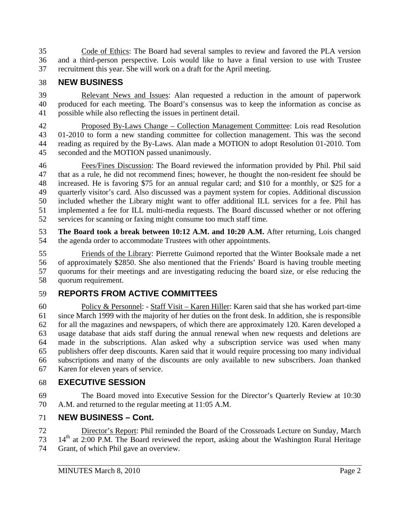35 Code of Ethics: The Board had several samples to review and favored the PLA version 36 and a third-person perspective. Lois would like to have a final version to use with Trustee 37 recruitment this year. She will work on a draft for the April meeting.

# 38 **NEW BUSINESS**

39 Relevant News and Issues: Alan requested a reduction in the amount of paperwork 40 produced for each meeting. The Board's consensus was to keep the information as concise as 41 possible while also reflecting the issues in pertinent detail.

42 Proposed By-Laws Change – Collection Management Committee: Lois read Resolution 43 01-2010 to form a new standing committee for collection management. This was the second 44 reading as required by the By-Laws. Alan made a MOTION to adopt Resolution 01-2010. Tom 45 seconded and the MOTION passed unanimously.

46 Fees/Fines Discussion: The Board reviewed the information provided by Phil. Phil said 47 that as a rule, he did not recommend fines; however, he thought the non-resident fee should be 48 increased. He is favoring \$75 for an annual regular card; and \$10 for a monthly, or \$25 for a 49 quarterly visitor's card. Also discussed was a payment system for copies. Additional discussion 50 included whether the Library might want to offer additional ILL services for a fee. Phil has 51 implemented a fee for ILL multi-media requests. The Board discussed whether or not offering 52 services for scanning or faxing might consume too much staff time.

53 **The Board took a break between 10:12 A.M. and 10:20 A.M.** After returning, Lois changed 54 the agenda order to accommodate Trustees with other appointments.

55 Friends of the Library: Pierrette Guimond reported that the Winter Booksale made a net 56 of approximately \$2850. She also mentioned that the Friends' Board is having trouble meeting 57 quorums for their meetings and are investigating reducing the board size, or else reducing the 58 quorum requirement.

# 59 **REPORTS FROM ACTIVE COMMITTEES**

60 Policy & Personnel: - Staff Visit – Karen Hiller: Karen said that she has worked part-time 61 since March 1999 with the majority of her duties on the front desk. In addition, she is responsible 62 for all the magazines and newspapers, of which there are approximately 120. Karen developed a 63 usage database that aids staff during the annual renewal when new requests and deletions are 64 made in the subscriptions. Alan asked why a subscription service was used when many 65 publishers offer deep discounts. Karen said that it would require processing too many individual 66 subscriptions and many of the discounts are only available to new subscribers. Joan thanked 67 Karen for eleven years of service.

## 68 **EXECUTIVE SESSION**

69 The Board moved into Executive Session for the Director's Quarterly Review at 10:30 70 A.M. and returned to the regular meeting at 11:05 A.M.

## 71 **NEW BUSINESS – Cont.**

- 72 Director's Report: Phil reminded the Board of the Crossroads Lecture on Sunday, March  $14<sup>th</sup>$  at 2:00 P.M. The Board reviewed the report, asking about the Washington Rural Heritage
- 74 Grant, of which Phil gave an overview.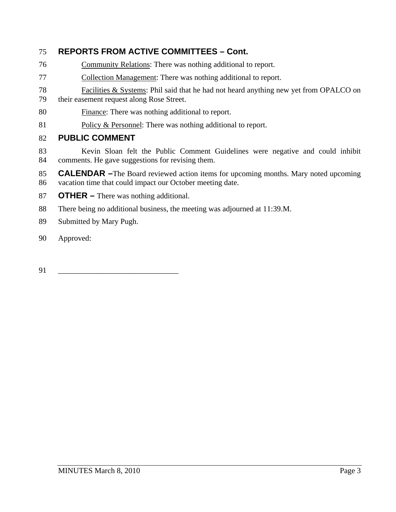# 75 **REPORTS FROM ACTIVE COMMITTEES – Cont.**

- 76 Community Relations: There was nothing additional to report.
- 77 Collection Management: There was nothing additional to report.
- 78 Facilities & Systems: Phil said that he had not heard anything new yet from OPALCO on 79 their easement request along Rose Street.
- 80 Finance: There was nothing additional to report.
- 81 Policy & Personnel: There was nothing additional to report.

## 82 **PUBLIC COMMENT**

- 83 Kevin Sloan felt the Public Comment Guidelines were negative and could inhibit 84 comments. He gave suggestions for revising them.
- 85 **CALENDAR –**The Board reviewed action items for upcoming months. Mary noted upcoming 86 vacation time that could impact our October meeting date.
- 87 **OTHER** There was nothing additional.
- 88 There being no additional business, the meeting was adjourned at 11:39.M.
- 89 Submitted by Mary Pugh.
- 90 Approved:

91 \_\_\_\_\_\_\_\_\_\_\_\_\_\_\_\_\_\_\_\_\_\_\_\_\_\_\_\_\_\_\_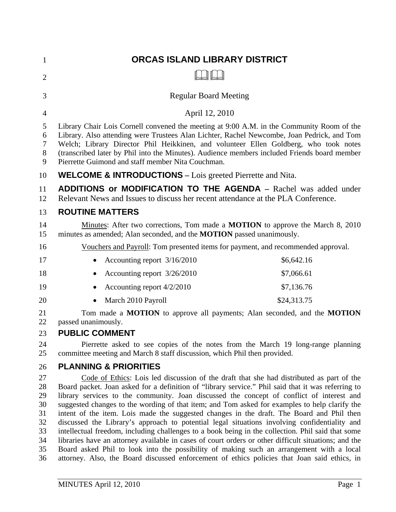| $\mathbf{1}$                                       | <b>ORCAS ISLAND LIBRARY DISTRICT</b>                                                                                                                                                                                                                                                                                                                                                                                                                                                                                                                                                                                                                                                                                                                                                                                                                                                               |
|----------------------------------------------------|----------------------------------------------------------------------------------------------------------------------------------------------------------------------------------------------------------------------------------------------------------------------------------------------------------------------------------------------------------------------------------------------------------------------------------------------------------------------------------------------------------------------------------------------------------------------------------------------------------------------------------------------------------------------------------------------------------------------------------------------------------------------------------------------------------------------------------------------------------------------------------------------------|
| $\overline{2}$                                     |                                                                                                                                                                                                                                                                                                                                                                                                                                                                                                                                                                                                                                                                                                                                                                                                                                                                                                    |
| 3                                                  | <b>Regular Board Meeting</b>                                                                                                                                                                                                                                                                                                                                                                                                                                                                                                                                                                                                                                                                                                                                                                                                                                                                       |
| 4                                                  | April 12, 2010                                                                                                                                                                                                                                                                                                                                                                                                                                                                                                                                                                                                                                                                                                                                                                                                                                                                                     |
| 5<br>6<br>7<br>8<br>9                              | Library Chair Lois Cornell convened the meeting at 9:00 A.M. in the Community Room of the<br>Library. Also attending were Trustees Alan Lichter, Rachel Newcombe, Joan Pedrick, and Tom<br>Welch; Library Director Phil Heikkinen, and volunteer Ellen Goldberg, who took notes<br>(transcribed later by Phil into the Minutes). Audience members included Friends board member<br>Pierrette Guimond and staff member Nita Couchman.                                                                                                                                                                                                                                                                                                                                                                                                                                                               |
| 10                                                 | <b>WELCOME &amp; INTRODUCTIONS</b> – Lois greeted Pierrette and Nita.                                                                                                                                                                                                                                                                                                                                                                                                                                                                                                                                                                                                                                                                                                                                                                                                                              |
| 11<br>12                                           | <b>ADDITIONS or MODIFICATION TO THE AGENDA - Rachel was added under</b><br>Relevant News and Issues to discuss her recent attendance at the PLA Conference.                                                                                                                                                                                                                                                                                                                                                                                                                                                                                                                                                                                                                                                                                                                                        |
| 13                                                 | <b>ROUTINE MATTERS</b>                                                                                                                                                                                                                                                                                                                                                                                                                                                                                                                                                                                                                                                                                                                                                                                                                                                                             |
| 14<br>15                                           | Minutes: After two corrections, Tom made a MOTION to approve the March 8, 2010<br>minutes as amended; Alan seconded, and the <b>MOTION</b> passed unanimously.                                                                                                                                                                                                                                                                                                                                                                                                                                                                                                                                                                                                                                                                                                                                     |
| 16                                                 | Vouchers and Payroll: Tom presented items for payment, and recommended approval.                                                                                                                                                                                                                                                                                                                                                                                                                                                                                                                                                                                                                                                                                                                                                                                                                   |
| 17                                                 | Accounting report 3/16/2010<br>\$6,642.16                                                                                                                                                                                                                                                                                                                                                                                                                                                                                                                                                                                                                                                                                                                                                                                                                                                          |
| 18                                                 | Accounting report 3/26/2010<br>\$7,066.61                                                                                                                                                                                                                                                                                                                                                                                                                                                                                                                                                                                                                                                                                                                                                                                                                                                          |
| 19                                                 | \$7,136.76<br>Accounting report 4/2/2010                                                                                                                                                                                                                                                                                                                                                                                                                                                                                                                                                                                                                                                                                                                                                                                                                                                           |
| 20                                                 | \$24,313.75<br>March 2010 Payroll                                                                                                                                                                                                                                                                                                                                                                                                                                                                                                                                                                                                                                                                                                                                                                                                                                                                  |
| 21<br>22<br>23                                     | Tom made a MOTION to approve all payments; Alan seconded, and the MOTION<br>passed unanimously.<br><b>PUBLIC COMMENT</b>                                                                                                                                                                                                                                                                                                                                                                                                                                                                                                                                                                                                                                                                                                                                                                           |
| 24<br>25                                           | Pierrette asked to see copies of the notes from the March 19 long-range planning<br>committee meeting and March 8 staff discussion, which Phil then provided.                                                                                                                                                                                                                                                                                                                                                                                                                                                                                                                                                                                                                                                                                                                                      |
| 26                                                 | <b>PLANNING &amp; PRIORITIES</b>                                                                                                                                                                                                                                                                                                                                                                                                                                                                                                                                                                                                                                                                                                                                                                                                                                                                   |
| 27<br>28<br>29<br>30<br>31<br>32<br>33<br>34<br>35 | Code of Ethics: Lois led discussion of the draft that she had distributed as part of the<br>Board packet. Joan asked for a definition of "library service." Phil said that it was referring to<br>library services to the community. Joan discussed the concept of conflict of interest and<br>suggested changes to the wording of that item; and Tom asked for examples to help clarify the<br>intent of the item. Lois made the suggested changes in the draft. The Board and Phil then<br>discussed the Library's approach to potential legal situations involving confidentiality and<br>intellectual freedom, including challenges to a book being in the collection. Phil said that some<br>libraries have an attorney available in cases of court orders or other difficult situations; and the<br>Board asked Phil to look into the possibility of making such an arrangement with a local |
| 36                                                 | attorney. Also, the Board discussed enforcement of ethics policies that Joan said ethics, in                                                                                                                                                                                                                                                                                                                                                                                                                                                                                                                                                                                                                                                                                                                                                                                                       |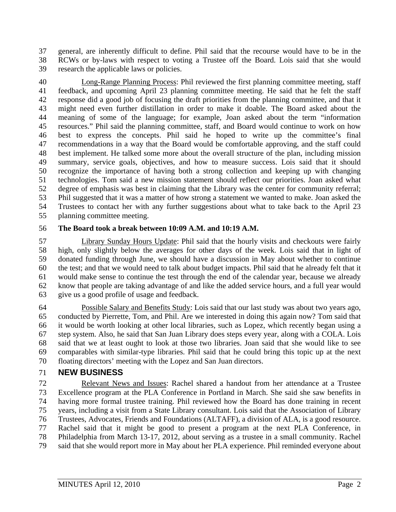37 general, are inherently difficult to define. Phil said that the recourse would have to be in the 38 RCWs or by-laws with respect to voting a Trustee off the Board. Lois said that she would 39 research the applicable laws or policies.

40 Long-Range Planning Process: Phil reviewed the first planning committee meeting, staff 41 feedback, and upcoming April 23 planning committee meeting. He said that he felt the staff 42 response did a good job of focusing the draft priorities from the planning committee, and that it 43 might need even further distillation in order to make it doable. The Board asked about the 44 meaning of some of the language; for example, Joan asked about the term "information 45 resources." Phil said the planning committee, staff, and Board would continue to work on how 46 best to express the concepts. Phil said he hoped to write up the committee's final 47 recommendations in a way that the Board would be comfortable approving, and the staff could 48 best implement. He talked some more about the overall structure of the plan, including mission 49 summary, service goals, objectives, and how to measure success. Lois said that it should 50 recognize the importance of having both a strong collection and keeping up with changing 51 technologies. Tom said a new mission statement should reflect our priorities. Joan asked what 52 degree of emphasis was best in claiming that the Library was the center for community referral; 53 Phil suggested that it was a matter of how strong a statement we wanted to make. Joan asked the 54 Trustees to contact her with any further suggestions about what to take back to the April 23 55 planning committee meeting.

#### 56 **The Board took a break between 10:09 A.M. and 10:19 A.M.**

57 Library Sunday Hours Update: Phil said that the hourly visits and checkouts were fairly 58 high, only slightly below the averages for other days of the week. Lois said that in light of 59 donated funding through June, we should have a discussion in May about whether to continue 60 the test; and that we would need to talk about budget impacts. Phil said that he already felt that it 61 would make sense to continue the test through the end of the calendar year, because we already 62 know that people are taking advantage of and like the added service hours, and a full year would 63 give us a good profile of usage and feedback.

64 Possible Salary and Benefits Study: Lois said that our last study was about two years ago, 65 conducted by Pierrette, Tom, and Phil. Are we interested in doing this again now? Tom said that 66 it would be worth looking at other local libraries, such as Lopez, which recently began using a 67 step system. Also, he said that San Juan Library does steps every year, along with a COLA. Lois 68 said that we at least ought to look at those two libraries. Joan said that she would like to see 69 comparables with similar-type libraries. Phil said that he could bring this topic up at the next 70 floating directors' meeting with the Lopez and San Juan directors.

## 71 **NEW BUSINESS**

72 Relevant News and Issues: Rachel shared a handout from her attendance at a Trustee 73 Excellence program at the PLA Conference in Portland in March. She said she saw benefits in 74 having more formal trustee training. Phil reviewed how the Board has done training in recent 75 years, including a visit from a State Library consultant. Lois said that the Association of Library 76 Trustees, Advocates, Friends and Foundations (ALTAFF), a division of ALA, is a good resource. 77 Rachel said that it might be good to present a program at the next PLA Conference, in 78 Philadelphia from March 13-17, 2012, about serving as a trustee in a small community. Rachel 79 said that she would report more in May about her PLA experience. Phil reminded everyone about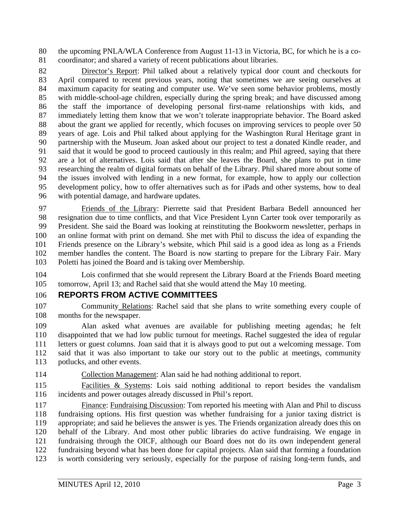80 the upcoming PNLA/WLA Conference from August 11-13 in Victoria, BC, for which he is a co-81 coordinator; and shared a variety of recent publications about libraries.

82 Director's Report: Phil talked about a relatively typical door count and checkouts for 83 April compared to recent previous years, noting that sometimes we are seeing ourselves at 84 maximum capacity for seating and computer use. We've seen some behavior problems, mostly 85 with middle-school-age children, especially during the spring break; and have discussed among 86 the staff the importance of developing personal first-name relationships with kids, and 87 immediately letting them know that we won't tolerate inappropriate behavior. The Board asked 88 about the grant we applied for recently, which focuses on improving services to people over 50 89 years of age. Lois and Phil talked about applying for the Washington Rural Heritage grant in 90 partnership with the Museum. Joan asked about our project to test a donated Kindle reader, and 91 said that it would be good to proceed cautiously in this realm; and Phil agreed, saying that there 92 are a lot of alternatives. Lois said that after she leaves the Board, she plans to put in time 93 researching the realm of digital formats on behalf of the Library. Phil shared more about some of 94 the issues involved with lending in a new format, for example, how to apply our collection 95 development policy, how to offer alternatives such as for iPads and other systems, how to deal 96 with potential damage, and hardware updates.

97 Friends of the Library: Pierrette said that President Barbara Bedell announced her 98 resignation due to time conflicts, and that Vice President Lynn Carter took over temporarily as 99 President. She said the Board was looking at reinstituting the Bookworm newsletter, perhaps in 100 an online format with print on demand. She met with Phil to discuss the idea of expanding the 101 Friends presence on the Library's website, which Phil said is a good idea as long as a Friends 102 member handles the content. The Board is now starting to prepare for the Library Fair. Mary 103 Poletti has joined the Board and is taking over Membership.

104 Lois confirmed that she would represent the Library Board at the Friends Board meeting 105 tomorrow, April 13; and Rachel said that she would attend the May 10 meeting.

## 106 **REPORTS FROM ACTIVE COMMITTEES**

107 Community Relations: Rachel said that she plans to write something every couple of 108 months for the newspaper.

109 Alan asked what avenues are available for publishing meeting agendas; he felt 110 disappointed that we had low public turnout for meetings. Rachel suggested the idea of regular 111 letters or guest columns. Joan said that it is always good to put out a welcoming message. Tom 112 said that it was also important to take our story out to the public at meetings, community 113 potlucks, and other events.

114 Collection Management: Alan said he had nothing additional to report.

115 Facilities & Systems: Lois said nothing additional to report besides the vandalism 116 incidents and power outages already discussed in Phil's report.

117 Finance: Fundraising Discussion: Tom reported his meeting with Alan and Phil to discuss 118 fundraising options. His first question was whether fundraising for a junior taxing district is 119 appropriate; and said he believes the answer is yes. The Friends organization already does this on 120 behalf of the Library. And most other public libraries do active fundraising. We engage in 121 fundraising through the OICF, although our Board does not do its own independent general 122 fundraising beyond what has been done for capital projects. Alan said that forming a foundation 123 is worth considering very seriously, especially for the purpose of raising long-term funds, and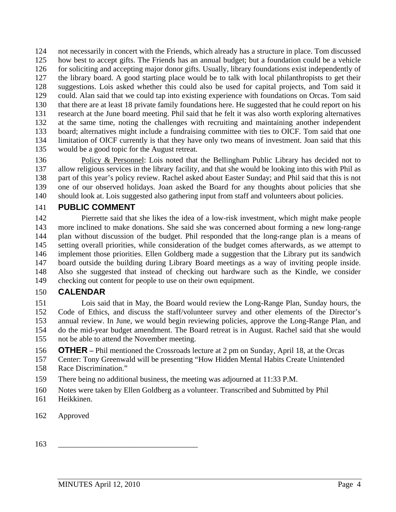124 not necessarily in concert with the Friends, which already has a structure in place. Tom discussed 125 how best to accept gifts. The Friends has an annual budget; but a foundation could be a vehicle 126 for soliciting and accepting major donor gifts. Usually, library foundations exist independently of 127 the library board. A good starting place would be to talk with local philanthropists to get their 128 suggestions. Lois asked whether this could also be used for capital projects, and Tom said it 129 could. Alan said that we could tap into existing experience with foundations on Orcas. Tom said 130 that there are at least 18 private family foundations here. He suggested that he could report on his 131 research at the June board meeting. Phil said that he felt it was also worth exploring alternatives 132 at the same time, noting the challenges with recruiting and maintaining another independent 133 board; alternatives might include a fundraising committee with ties to OICF. Tom said that one 134 limitation of OICF currently is that they have only two means of investment. Joan said that this 135 would be a good topic for the August retreat.

136 Policy & Personnel: Lois noted that the Bellingham Public Library has decided not to 137 allow religious services in the library facility, and that she would be looking into this with Phil as 138 part of this year's policy review. Rachel asked about Easter Sunday; and Phil said that this is not 139 one of our observed holidays. Joan asked the Board for any thoughts about policies that she 140 should look at. Lois suggested also gathering input from staff and volunteers about policies.

## 141 **PUBLIC COMMENT**

142 Pierrette said that she likes the idea of a low-risk investment, which might make people 143 more inclined to make donations. She said she was concerned about forming a new long-range 144 plan without discussion of the budget. Phil responded that the long-range plan is a means of 145 setting overall priorities, while consideration of the budget comes afterwards, as we attempt to 146 implement those priorities. Ellen Goldberg made a suggestion that the Library put its sandwich 147 board outside the building during Library Board meetings as a way of inviting people inside. 148 Also she suggested that instead of checking out hardware such as the Kindle, we consider 149 checking out content for people to use on their own equipment.

#### 150 **CALENDAR**

151 Lois said that in May, the Board would review the Long-Range Plan, Sunday hours, the 152 Code of Ethics, and discuss the staff/volunteer survey and other elements of the Director's 153 annual review. In June, we would begin reviewing policies, approve the Long-Range Plan, and 154 do the mid-year budget amendment. The Board retreat is in August. Rachel said that she would 155 not be able to attend the November meeting.

156 **OTHER –** Phil mentioned the Crossroads lecture at 2 pm on Sunday, April 18, at the Orcas

157 Center: Tony Greenwald will be presenting "How Hidden Mental Habits Create Unintended 158 Race Discrimination."

159 There being no additional business, the meeting was adjourned at 11:33 P.M.

- 160 Notes were taken by Ellen Goldberg as a volunteer. Transcribed and Submitted by Phil
- 161 Heikkinen.
- 162 Approved

163 \_\_\_\_\_\_\_\_\_\_\_\_\_\_\_\_\_\_\_\_\_\_\_\_\_\_\_\_\_\_\_\_\_\_\_\_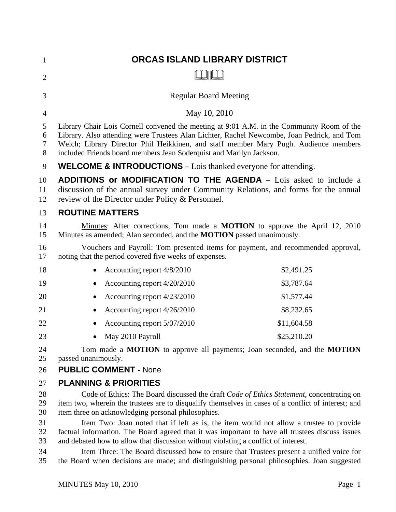| 1                    | ORCAS ISLAND LIBRARY DISTRICT                                                                                                                                                                                                                                                                                                                          |
|----------------------|--------------------------------------------------------------------------------------------------------------------------------------------------------------------------------------------------------------------------------------------------------------------------------------------------------------------------------------------------------|
| $\overline{2}$       |                                                                                                                                                                                                                                                                                                                                                        |
| 3                    | <b>Regular Board Meeting</b>                                                                                                                                                                                                                                                                                                                           |
| $\overline{4}$       | May 10, 2010                                                                                                                                                                                                                                                                                                                                           |
| 5<br>6<br>7<br>8     | Library Chair Lois Cornell convened the meeting at 9:01 A.M. in the Community Room of the<br>Library. Also attending were Trustees Alan Lichter, Rachel Newcombe, Joan Pedrick, and Tom<br>Welch; Library Director Phil Heikkinen, and staff member Mary Pugh. Audience members<br>included Friends board members Jean Soderquist and Marilyn Jackson. |
| 9                    | <b>WELCOME &amp; INTRODUCTIONS</b> – Lois thanked everyone for attending.                                                                                                                                                                                                                                                                              |
| 10<br>11<br>12       | <b>ADDITIONS or MODIFICATION TO THE AGENDA</b> – Lois asked to include a<br>discussion of the annual survey under Community Relations, and forms for the annual<br>review of the Director under Policy & Personnel.                                                                                                                                    |
| 13                   | <b>ROUTINE MATTERS</b>                                                                                                                                                                                                                                                                                                                                 |
| 14<br>15             | Minutes: After corrections, Tom made a <b>MOTION</b> to approve the April 12, 2010<br>Minutes as amended; Alan seconded, and the <b>MOTION</b> passed unanimously.                                                                                                                                                                                     |
| 16<br>17             | Vouchers and Payroll: Tom presented items for payment, and recommended approval,<br>noting that the period covered five weeks of expenses.                                                                                                                                                                                                             |
| 18                   | \$2,491.25<br>Accounting report 4/8/2010<br>$\bullet$                                                                                                                                                                                                                                                                                                  |
| 19                   | \$3,787.64<br>Accounting report 4/20/2010                                                                                                                                                                                                                                                                                                              |
| 20                   | \$1,577.44<br>Accounting report 4/23/2010                                                                                                                                                                                                                                                                                                              |
| 21                   | \$8,232.65<br>Accounting report 4/26/2010                                                                                                                                                                                                                                                                                                              |
| 22                   | Accounting report 5/07/2010<br>\$11,604.58                                                                                                                                                                                                                                                                                                             |
| 23                   | \$25,210.20<br>May 2010 Payroll                                                                                                                                                                                                                                                                                                                        |
| 24<br>25             | Tom made a MOTION to approve all payments; Joan seconded, and the MOTION<br>passed unanimously.                                                                                                                                                                                                                                                        |
| 26                   | <b>PUBLIC COMMENT - None</b>                                                                                                                                                                                                                                                                                                                           |
| 27<br>28<br>29<br>30 | <b>PLANNING &amp; PRIORITIES</b><br>Code of Ethics: The Board discussed the draft Code of Ethics Statement, concentrating on<br>item two, wherein the trustees are to disqualify themselves in cases of a conflict of interest; and<br>item three on acknowledging personal philosophies.                                                              |
| 31<br>32             | Item Two: Joan noted that if left as is, the item would not allow a trustee to provide<br>factual information. The Board agreed that it was important to have all trustees discuss issues                                                                                                                                                              |

33 and debated how to allow that discussion without violating a conflict of interest.

34 Item Three: The Board discussed how to ensure that Trustees present a unified voice for<br>35 the Board when decisions are made: and distinguishing personal philosophies. Joan suggested the Board when decisions are made; and distinguishing personal philosophies. Joan suggested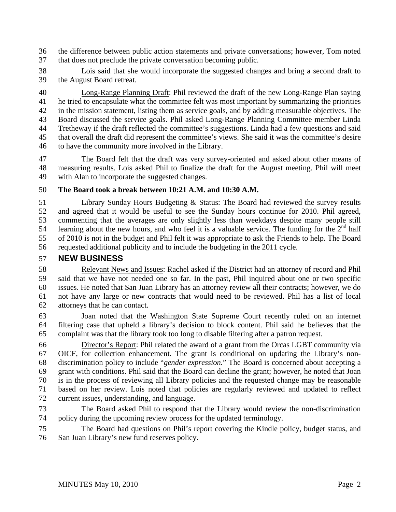36 the difference between public action statements and private conversations; however, Tom noted 37 that does not preclude the private conversation becoming public.

38 Lois said that she would incorporate the suggested changes and bring a second draft to 39 the August Board retreat.

40 Long-Range Planning Draft: Phil reviewed the draft of the new Long-Range Plan saying 41 he tried to encapsulate what the committee felt was most important by summarizing the priorities 42 in the mission statement, listing them as service goals, and by adding measurable objectives. The 43 Board discussed the service goals. Phil asked Long-Range Planning Committee member Linda 44 Tretheway if the draft reflected the committee's suggestions. Linda had a few questions and said 45 that overall the draft did represent the committee's views. She said it was the committee's desire 46 to have the community more involved in the Library.

47 The Board felt that the draft was very survey-oriented and asked about other means of 48 measuring results. Lois asked Phil to finalize the draft for the August meeting. Phil will meet 49 with Alan to incorporate the suggested changes.

#### 50 **The Board took a break between 10:21 A.M. and 10:30 A.M.**

51 Library Sunday Hours Budgeting & Status: The Board had reviewed the survey results 52 and agreed that it would be useful to see the Sunday hours continue for 2010. Phil agreed, 53 commenting that the averages are only slightly less than weekdays despite many people still 54 learning about the new hours, and who feel it is a valuable service. The funding for the  $2<sup>nd</sup>$  half 55 of 2010 is not in the budget and Phil felt it was appropriate to ask the Friends to help. The Board 56 requested additional publicity and to include the budgeting in the 2011 cycle.

## 57 **NEW BUSINESS**

58 Relevant News and Issues: Rachel asked if the District had an attorney of record and Phil 59 said that we have not needed one so far. In the past, Phil inquired about one or two specific 60 issues. He noted that San Juan Library has an attorney review all their contracts; however, we do 61 not have any large or new contracts that would need to be reviewed. Phil has a list of local 62 attorneys that he can contact.

63 Joan noted that the Washington State Supreme Court recently ruled on an internet 64 filtering case that upheld a library's decision to block content. Phil said he believes that the 65 complaint was that the library took too long to disable filtering after a patron request.

66 Director's Report: Phil related the award of a grant from the Orcas LGBT community via 67 OICF, for collection enhancement. The grant is conditional on updating the Library's non-68 discrimination policy to include "*gender expression.*" The Board is concerned about accepting a 69 grant with conditions. Phil said that the Board can decline the grant; however, he noted that Joan 70 is in the process of reviewing all Library policies and the requested change may be reasonable 71 based on her review. Lois noted that policies are regularly reviewed and updated to reflect 72 current issues, understanding, and language.

73 The Board asked Phil to respond that the Library would review the non-discrimination 74 policy during the upcoming review process for the updated terminology.

75 The Board had questions on Phil's report covering the Kindle policy, budget status, and 76 San Juan Library's new fund reserves policy.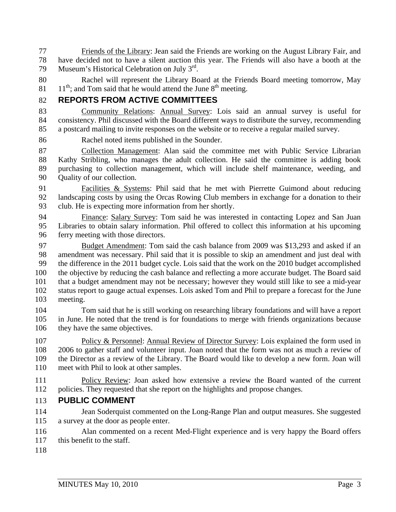77 Friends of the Library: Jean said the Friends are working on the August Library Fair, and 78 have decided not to have a silent auction this year. The Friends will also have a booth at the 79 Museum's Historical Celebration on July  $3<sup>rd</sup>$ .

80 Rachel will represent the Library Board at the Friends Board meeting tomorrow, May  $11<sup>th</sup>$ ; and Tom said that he would attend the June  $8<sup>th</sup>$  meeting.

# 82 **REPORTS FROM ACTIVE COMMITTEES**

83 Community Relations: Annual Survey: Lois said an annual survey is useful for 84 consistency. Phil discussed with the Board different ways to distribute the survey, recommending 85 a postcard mailing to invite responses on the website or to receive a regular mailed survey.

86 Rachel noted items published in the Sounder.

87 Collection Management: Alan said the committee met with Public Service Librarian 88 Kathy Stribling, who manages the adult collection. He said the committee is adding book 89 purchasing to collection management, which will include shelf maintenance, weeding, and 90 Quality of our collection.

91 Facilities & Systems: Phil said that he met with Pierrette Guimond about reducing 92 landscaping costs by using the Orcas Rowing Club members in exchange for a donation to their 93 club. He is expecting more information from her shortly.

94 Finance: Salary Survey: Tom said he was interested in contacting Lopez and San Juan 95 Libraries to obtain salary information. Phil offered to collect this information at his upcoming 96 ferry meeting with those directors.

97 Budget Amendment: Tom said the cash balance from 2009 was \$13,293 and asked if an 98 amendment was necessary. Phil said that it is possible to skip an amendment and just deal with 99 the difference in the 2011 budget cycle. Lois said that the work on the 2010 budget accomplished 100 the objective by reducing the cash balance and reflecting a more accurate budget. The Board said 101 that a budget amendment may not be necessary; however they would still like to see a mid-year 102 status report to gauge actual expenses. Lois asked Tom and Phil to prepare a forecast for the June 103 meeting.

104 Tom said that he is still working on researching library foundations and will have a report 105 in June. He noted that the trend is for foundations to merge with friends organizations because 106 they have the same objectives.

107 Policy & Personnel: Annual Review of Director Survey: Lois explained the form used in 108 2006 to gather staff and volunteer input. Joan noted that the form was not as much a review of 109 the Director as a review of the Library. The Board would like to develop a new form. Joan will 110 meet with Phil to look at other samples.

111 Policy Review: Joan asked how extensive a review the Board wanted of the current 112 policies. They requested that she report on the highlights and propose changes.

## 113 **PUBLIC COMMENT**

- 114 Jean Soderquist commented on the Long-Range Plan and output measures. She suggested 115 a survey at the door as people enter.
- 116 Alan commented on a recent Med-Flight experience and is very happy the Board offers 117 this benefit to the staff.
- 118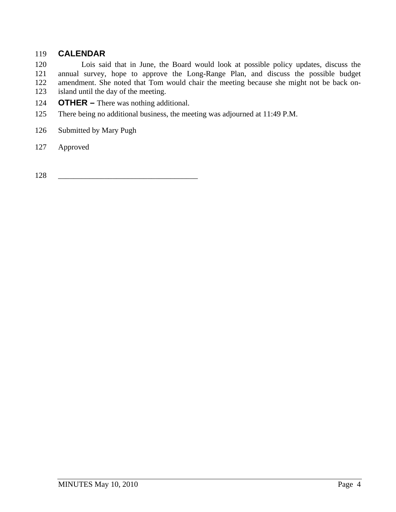## 119 **CALENDAR**

120 Lois said that in June, the Board would look at possible policy updates, discuss the 121 annual survey, hope to approve the Long-Range Plan, and discuss the possible budget amendment. She noted that Tom would chair the meeting because she might not be back onamendment. She noted that Tom would chair the meeting because she might not be back on-123 island until the day of the meeting.

- 124 **OTHER** There was nothing additional.
- 125 There being no additional business, the meeting was adjourned at 11:49 P.M.
- 126 Submitted by Mary Pugh
- 127 Approved

128 \_\_\_\_\_\_\_\_\_\_\_\_\_\_\_\_\_\_\_\_\_\_\_\_\_\_\_\_\_\_\_\_\_\_\_\_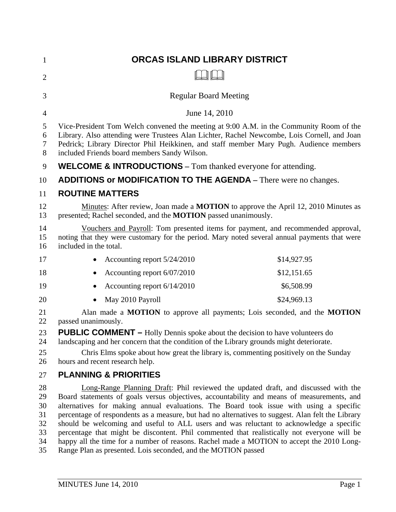| $\mathbf{1}$                                 | ORCAS ISLAND LIBRARY DISTRICT                                                                                                                                                                                                                                                                                                                                                                                                                                                                                                                                                                                                                                                                                                           |  |
|----------------------------------------------|-----------------------------------------------------------------------------------------------------------------------------------------------------------------------------------------------------------------------------------------------------------------------------------------------------------------------------------------------------------------------------------------------------------------------------------------------------------------------------------------------------------------------------------------------------------------------------------------------------------------------------------------------------------------------------------------------------------------------------------------|--|
| $\overline{2}$                               |                                                                                                                                                                                                                                                                                                                                                                                                                                                                                                                                                                                                                                                                                                                                         |  |
| 3                                            | <b>Regular Board Meeting</b>                                                                                                                                                                                                                                                                                                                                                                                                                                                                                                                                                                                                                                                                                                            |  |
| 4                                            | June 14, 2010                                                                                                                                                                                                                                                                                                                                                                                                                                                                                                                                                                                                                                                                                                                           |  |
| 5<br>6<br>7<br>$8\phantom{.}$                | Vice-President Tom Welch convened the meeting at 9:00 A.M. in the Community Room of the<br>Library. Also attending were Trustees Alan Lichter, Rachel Newcombe, Lois Cornell, and Joan<br>Pedrick; Library Director Phil Heikkinen, and staff member Mary Pugh. Audience members<br>included Friends board members Sandy Wilson.                                                                                                                                                                                                                                                                                                                                                                                                        |  |
| 9                                            | <b>WELCOME &amp; INTRODUCTIONS</b> – Tom thanked everyone for attending.                                                                                                                                                                                                                                                                                                                                                                                                                                                                                                                                                                                                                                                                |  |
| 10                                           | ADDITIONS or MODIFICATION TO THE AGENDA - There were no changes.                                                                                                                                                                                                                                                                                                                                                                                                                                                                                                                                                                                                                                                                        |  |
| 11                                           | <b>ROUTINE MATTERS</b>                                                                                                                                                                                                                                                                                                                                                                                                                                                                                                                                                                                                                                                                                                                  |  |
| 12<br>13                                     | Minutes: After review, Joan made a <b>MOTION</b> to approve the April 12, 2010 Minutes as<br>presented; Rachel seconded, and the <b>MOTION</b> passed unanimously.                                                                                                                                                                                                                                                                                                                                                                                                                                                                                                                                                                      |  |
| 14<br>15<br>16                               | Vouchers and Payroll: Tom presented items for payment, and recommended approval,<br>noting that they were customary for the period. Mary noted several annual payments that were<br>included in the total.                                                                                                                                                                                                                                                                                                                                                                                                                                                                                                                              |  |
| 17                                           | \$14,927.95<br>Accounting report 5/24/2010                                                                                                                                                                                                                                                                                                                                                                                                                                                                                                                                                                                                                                                                                              |  |
| 18                                           | Accounting report 6/07/2010<br>\$12,151.65                                                                                                                                                                                                                                                                                                                                                                                                                                                                                                                                                                                                                                                                                              |  |
| 19                                           | \$6,508.99<br>Accounting report 6/14/2010                                                                                                                                                                                                                                                                                                                                                                                                                                                                                                                                                                                                                                                                                               |  |
| 20                                           | \$24,969.13<br>May 2010 Payroll                                                                                                                                                                                                                                                                                                                                                                                                                                                                                                                                                                                                                                                                                                         |  |
| 21<br>22                                     | Alan made a <b>MOTION</b> to approve all payments; Lois seconded, and the <b>MOTION</b><br>passed unanimously.                                                                                                                                                                                                                                                                                                                                                                                                                                                                                                                                                                                                                          |  |
| 23<br>24<br>25<br>26                         | <b>PUBLIC COMMENT –</b> Holly Dennis spoke about the decision to have volunteers do<br>landscaping and her concern that the condition of the Library grounds might deteriorate.<br>Chris Elms spoke about how great the library is, commenting positively on the Sunday<br>hours and recent research help.                                                                                                                                                                                                                                                                                                                                                                                                                              |  |
| 27                                           | <b>PLANNING &amp; PRIORITIES</b>                                                                                                                                                                                                                                                                                                                                                                                                                                                                                                                                                                                                                                                                                                        |  |
| 28<br>29<br>30<br>31<br>32<br>33<br>34<br>35 | Long-Range Planning Draft: Phil reviewed the updated draft, and discussed with the<br>Board statements of goals versus objectives, accountability and means of measurements, and<br>alternatives for making annual evaluations. The Board took issue with using a specific<br>percentage of respondents as a measure, but had no alternatives to suggest. Alan felt the Library<br>should be welcoming and useful to ALL users and was reluctant to acknowledge a specific<br>percentage that might be discontent. Phil commented that realistically not everyone will be<br>happy all the time for a number of reasons. Rachel made a MOTION to accept the 2010 Long-<br>Range Plan as presented. Lois seconded, and the MOTION passed |  |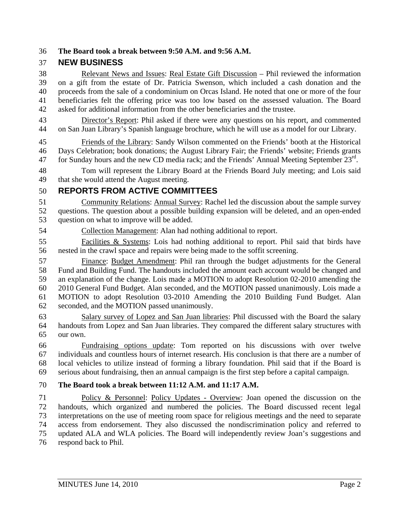#### 36 **The Board took a break between 9:50 A.M. and 9:56 A.M.**

#### 37 **NEW BUSINESS**

38 Relevant News and Issues: Real Estate Gift Discussion – Phil reviewed the information 39 on a gift from the estate of Dr. Patricia Swenson, which included a cash donation and the 40 proceeds from the sale of a condominium on Orcas Island. He noted that one or more of the four 41 beneficiaries felt the offering price was too low based on the assessed valuation. The Board 42 asked for additional information from the other beneficiaries and the trustee.

43 Director's Report: Phil asked if there were any questions on his report, and commented 44 on San Juan Library's Spanish language brochure, which he will use as a model for our Library.

45 Friends of the Library: Sandy Wilson commented on the Friends' booth at the Historical 46 Days Celebration; book donations; the August Library Fair; the Friends' website; Friends grants 47 for Sunday hours and the new CD media rack; and the Friends' Annual Meeting September  $23^{\text{rd}}$ .

48 Tom will represent the Library Board at the Friends Board July meeting; and Lois said 49 that she would attend the August meeting.

## 50 **REPORTS FROM ACTIVE COMMITTEES**

51 Community Relations: Annual Survey: Rachel led the discussion about the sample survey 52 questions. The question about a possible building expansion will be deleted, and an open-ended 53 question on what to improve will be added.

54 Collection Management: Alan had nothing additional to report.

55 Facilities & Systems: Lois had nothing additional to report. Phil said that birds have 56 nested in the crawl space and repairs were being made to the soffit screening.

57 Finance: Budget Amendment: Phil ran through the budget adjustments for the General 58 Fund and Building Fund. The handouts included the amount each account would be changed and 59 an explanation of the change. Lois made a MOTION to adopt Resolution 02-2010 amending the 60 2010 General Fund Budget. Alan seconded, and the MOTION passed unanimously. Lois made a 61 MOTION to adopt Resolution 03-2010 Amending the 2010 Building Fund Budget. Alan 62 seconded, and the MOTION passed unanimously.

63 Salary survey of Lopez and San Juan libraries: Phil discussed with the Board the salary 64 handouts from Lopez and San Juan libraries. They compared the different salary structures with 65 our own.

66 Fundraising options update: Tom reported on his discussions with over twelve 67 individuals and countless hours of internet research. His conclusion is that there are a number of 68 local vehicles to utilize instead of forming a library foundation. Phil said that if the Board is 69 serious about fundraising, then an annual campaign is the first step before a capital campaign.

#### 70 **The Board took a break between 11:12 A.M. and 11:17 A.M.**

71 Policy & Personnel: Policy Updates - Overview: Joan opened the discussion on the 72 handouts, which organized and numbered the policies. The Board discussed recent legal 73 interpretations on the use of meeting room space for religious meetings and the need to separate 74 access from endorsement. They also discussed the nondiscrimination policy and referred to 75 updated ALA and WLA policies. The Board will independently review Joan's suggestions and 76 respond back to Phil.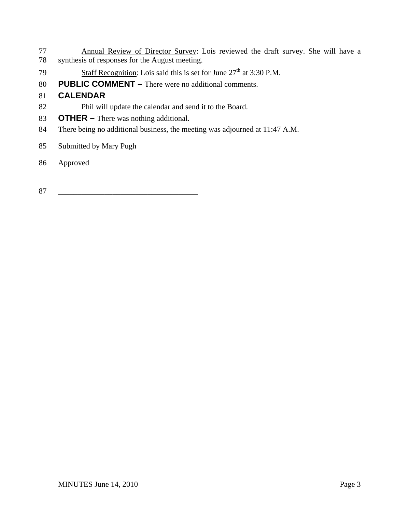- 77 Annual Review of Director Survey: Lois reviewed the draft survey. She will have a 78 synthesis of responses for the August meeting.
- 79 Staff Recognition: Lois said this is set for June  $27<sup>th</sup>$  at 3:30 P.M.
- 80 **PUBLIC COMMENT** There were no additional comments.

# 81 **CALENDAR**

- 82 Phil will update the calendar and send it to the Board.
- 83 **OTHER** There was nothing additional.
- 84 There being no additional business, the meeting was adjourned at 11:47 A.M.
- 85 Submitted by Mary Pugh
- 86 Approved
- 87 \_\_\_\_\_\_\_\_\_\_\_\_\_\_\_\_\_\_\_\_\_\_\_\_\_\_\_\_\_\_\_\_\_\_\_\_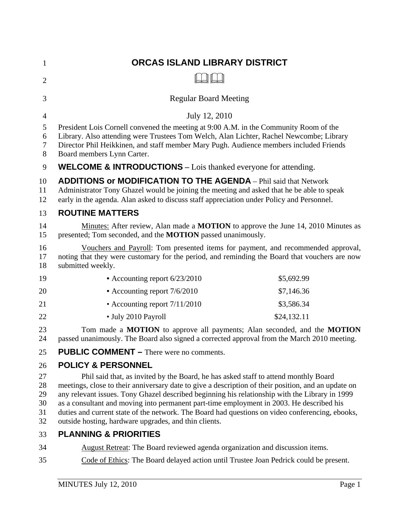| $\mathbf{1}$                     | ORCAS ISLAND LIBRARY DISTRICT                                                                                                                                                                                                                                                                                                                                                                                                                                                                                                                        |             |
|----------------------------------|------------------------------------------------------------------------------------------------------------------------------------------------------------------------------------------------------------------------------------------------------------------------------------------------------------------------------------------------------------------------------------------------------------------------------------------------------------------------------------------------------------------------------------------------------|-------------|
| $\overline{2}$                   |                                                                                                                                                                                                                                                                                                                                                                                                                                                                                                                                                      |             |
| 3                                | <b>Regular Board Meeting</b>                                                                                                                                                                                                                                                                                                                                                                                                                                                                                                                         |             |
| $\overline{4}$                   | July 12, 2010                                                                                                                                                                                                                                                                                                                                                                                                                                                                                                                                        |             |
| 5<br>6<br>7<br>8                 | President Lois Cornell convened the meeting at 9:00 A.M. in the Community Room of the<br>Library. Also attending were Trustees Tom Welch, Alan Lichter, Rachel Newcombe; Library<br>Director Phil Heikkinen, and staff member Mary Pugh. Audience members included Friends<br>Board members Lynn Carter.                                                                                                                                                                                                                                             |             |
| 9                                | <b>WELCOME &amp; INTRODUCTIONS</b> – Lois thanked everyone for attending.                                                                                                                                                                                                                                                                                                                                                                                                                                                                            |             |
| 10<br>11<br>12                   | <b>ADDITIONS or MODIFICATION TO THE AGENDA</b> - Phil said that Network<br>Administrator Tony Ghazel would be joining the meeting and asked that he be able to speak<br>early in the agenda. Alan asked to discuss staff appreciation under Policy and Personnel.                                                                                                                                                                                                                                                                                    |             |
| 13                               | <b>ROUTINE MATTERS</b>                                                                                                                                                                                                                                                                                                                                                                                                                                                                                                                               |             |
| 14<br>15                         | Minutes: After review, Alan made a <b>MOTION</b> to approve the June 14, 2010 Minutes as<br>presented; Tom seconded, and the <b>MOTION</b> passed unanimously.                                                                                                                                                                                                                                                                                                                                                                                       |             |
| 16<br>17<br>18                   | Vouchers and Payroll: Tom presented items for payment, and recommended approval,<br>noting that they were customary for the period, and reminding the Board that vouchers are now<br>submitted weekly.                                                                                                                                                                                                                                                                                                                                               |             |
| 19                               | • Accounting report 6/23/2010                                                                                                                                                                                                                                                                                                                                                                                                                                                                                                                        | \$5,692.99  |
| 20                               | • Accounting report 7/6/2010                                                                                                                                                                                                                                                                                                                                                                                                                                                                                                                         | \$7,146.36  |
| 21                               | • Accounting report $7/11/2010$                                                                                                                                                                                                                                                                                                                                                                                                                                                                                                                      | \$3,586.34  |
| 22                               | • July 2010 Payroll                                                                                                                                                                                                                                                                                                                                                                                                                                                                                                                                  | \$24,132.11 |
| 23<br>24                         | Tom made a MOTION to approve all payments; Alan seconded, and the MOTION<br>passed unanimously. The Board also signed a corrected approval from the March 2010 meeting.                                                                                                                                                                                                                                                                                                                                                                              |             |
| 25                               | <b>PUBLIC COMMENT – There were no comments.</b>                                                                                                                                                                                                                                                                                                                                                                                                                                                                                                      |             |
| 26                               | <b>POLICY &amp; PERSONNEL</b>                                                                                                                                                                                                                                                                                                                                                                                                                                                                                                                        |             |
| 27<br>28<br>29<br>30<br>31<br>32 | Phil said that, as invited by the Board, he has asked staff to attend monthly Board<br>meetings, close to their anniversary date to give a description of their position, and an update on<br>any relevant issues. Tony Ghazel described beginning his relationship with the Library in 1999<br>as a consultant and moving into permanent part-time employment in 2003. He described his<br>duties and current state of the network. The Board had questions on video conferencing, ebooks,<br>outside hosting, hardware upgrades, and thin clients. |             |
| 33                               | <b>PLANNING &amp; PRIORITIES</b>                                                                                                                                                                                                                                                                                                                                                                                                                                                                                                                     |             |
| 34                               | August Retreat: The Board reviewed agenda organization and discussion items.                                                                                                                                                                                                                                                                                                                                                                                                                                                                         |             |

35 Code of Ethics: The Board delayed action until Trustee Joan Pedrick could be present.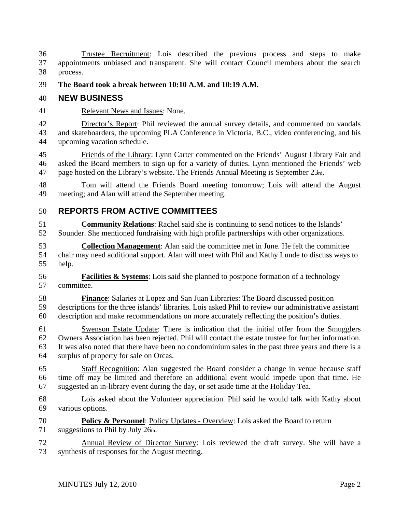36 Trustee Recruitment: Lois described the previous process and steps to make 37 appointments unbiased and transparent. She will contact Council members about the search 38 process.

#### 39 **The Board took a break between 10:10 A.M. and 10:19 A.M.**

#### 40 **NEW BUSINESS**

41 Relevant News and Issues: None.

42 Director's Report: Phil reviewed the annual survey details, and commented on vandals 43 and skateboarders, the upcoming PLA Conference in Victoria, B.C., video conferencing, and his 44 upcoming vacation schedule.

45 Friends of the Library: Lynn Carter commented on the Friends' August Library Fair and 46 asked the Board members to sign up for a variety of duties. Lynn mentioned the Friends' web 47 page hosted on the Library's website. The Friends Annual Meeting is September 23rd.

48 Tom will attend the Friends Board meeting tomorrow; Lois will attend the August 49 meeting; and Alan will attend the September meeting.

## 50 **REPORTS FROM ACTIVE COMMITTEES**

51 **Community Relations**: Rachel said she is continuing to send notices to the Islands' 52 Sounder. She mentioned fundraising with high profile partnerships with other organizations.

53 **Collection Management**: Alan said the committee met in June. He felt the committee 54 chair may need additional support. Alan will meet with Phil and Kathy Lunde to discuss ways to 55 help.

56 **Facilities & Systems**: Lois said she planned to postpone formation of a technology 57 committee.

58 **Finance**: Salaries at Lopez and San Juan Libraries: The Board discussed position 59 descriptions for the three islands' libraries. Lois asked Phil to review our administrative assistant 60 description and make recommendations on more accurately reflecting the position's duties.

61 Swenson Estate Update: There is indication that the initial offer from the Smugglers 62 Owners Association has been rejected. Phil will contact the estate trustee for further information. 63 It was also noted that there have been no condominium sales in the past three years and there is a 64 surplus of property for sale on Orcas.

65 Staff Recognition: Alan suggested the Board consider a change in venue because staff 66 time off may be limited and therefore an additional event would impede upon that time. He 67 suggested an in-library event during the day, or set aside time at the Holiday Tea.

68 Lois asked about the Volunteer appreciation. Phil said he would talk with Kathy about 69 various options.

70 **Policy & Personnel**: Policy Updates - Overview: Lois asked the Board to return 71 suggestions to Phil by July 26th.

72 Annual Review of Director Survey: Lois reviewed the draft survey. She will have a 73 synthesis of responses for the August meeting.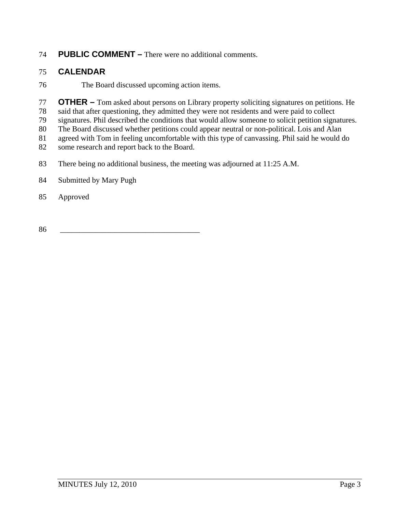# 74 **PUBLIC COMMENT –** There were no additional comments.

## 75 **CALENDAR**

76 The Board discussed upcoming action items.

77 **OTHER –** Tom asked about persons on Library property soliciting signatures on petitions. He

78 said that after questioning, they admitted they were not residents and were paid to collect

79 signatures. Phil described the conditions that would allow someone to solicit petition signatures.

80 The Board discussed whether petitions could appear neutral or non-political. Lois and Alan

81 agreed with Tom in feeling uncomfortable with this type of canvassing. Phil said he would do<br>82 some research and report back to the Board.

some research and report back to the Board.

83 There being no additional business, the meeting was adjourned at 11:25 A.M.

## 84 Submitted by Mary Pugh

## 85 Approved

86 \_\_\_\_\_\_\_\_\_\_\_\_\_\_\_\_\_\_\_\_\_\_\_\_\_\_\_\_\_\_\_\_\_\_\_\_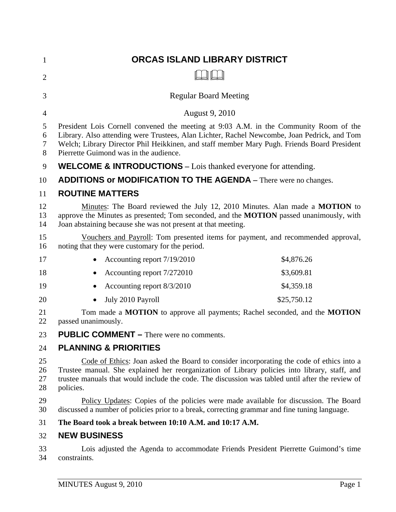| 1                    | <b>ORCAS ISLAND LIBRARY DISTRICT</b>                                                                                                                                                                                                                                                                                          |  |
|----------------------|-------------------------------------------------------------------------------------------------------------------------------------------------------------------------------------------------------------------------------------------------------------------------------------------------------------------------------|--|
| $\overline{2}$       |                                                                                                                                                                                                                                                                                                                               |  |
| 3                    | <b>Regular Board Meeting</b>                                                                                                                                                                                                                                                                                                  |  |
| 4                    | August 9, 2010                                                                                                                                                                                                                                                                                                                |  |
| 5<br>6<br>7<br>8     | President Lois Cornell convened the meeting at 9:03 A.M. in the Community Room of the<br>Library. Also attending were Trustees, Alan Lichter, Rachel Newcombe, Joan Pedrick, and Tom<br>Welch; Library Director Phil Heikkinen, and staff member Mary Pugh. Friends Board President<br>Pierrette Guimond was in the audience. |  |
| 9                    | <b>WELCOME &amp; INTRODUCTIONS</b> – Lois thanked everyone for attending.                                                                                                                                                                                                                                                     |  |
| 10                   | ADDITIONS or MODIFICATION TO THE AGENDA - There were no changes.                                                                                                                                                                                                                                                              |  |
| 11                   | <b>ROUTINE MATTERS</b>                                                                                                                                                                                                                                                                                                        |  |
| 12<br>13<br>14       | Minutes: The Board reviewed the July 12, 2010 Minutes. Alan made a MOTION to<br>approve the Minutes as presented; Tom seconded, and the MOTION passed unanimously, with<br>Joan abstaining because she was not present at that meeting.                                                                                       |  |
| 15<br>16             | Vouchers and Payroll: Tom presented items for payment, and recommended approval,<br>noting that they were customary for the period.                                                                                                                                                                                           |  |
| 17                   | \$4,876.26<br>Accounting report 7/19/2010                                                                                                                                                                                                                                                                                     |  |
| 18                   | Accounting report 7/272010<br>\$3,609.81                                                                                                                                                                                                                                                                                      |  |
| 19                   | \$4,359.18<br>Accounting report 8/3/2010<br>$\bullet$                                                                                                                                                                                                                                                                         |  |
| 20                   | July 2010 Payroll<br>\$25,750.12                                                                                                                                                                                                                                                                                              |  |
| 21<br>22             | Tom made a <b>MOTION</b> to approve all payments; Rachel seconded, and the <b>MOTION</b><br>passed unanimously.                                                                                                                                                                                                               |  |
| 23                   | <b>PUBLIC COMMENT – There were no comments.</b>                                                                                                                                                                                                                                                                               |  |
| 24                   | <b>PLANNING &amp; PRIORITIES</b>                                                                                                                                                                                                                                                                                              |  |
| 25<br>26<br>27<br>28 | Code of Ethics: Joan asked the Board to consider incorporating the code of ethics into a<br>Trustee manual. She explained her reorganization of Library policies into library, staff, and<br>trustee manuals that would include the code. The discussion was tabled until after the review of<br>policies.                    |  |
| 29<br>30             | Policy Updates: Copies of the policies were made available for discussion. The Board<br>discussed a number of policies prior to a break, correcting grammar and fine tuning language.                                                                                                                                         |  |
| 31                   | The Board took a break between 10:10 A.M. and 10:17 A.M.                                                                                                                                                                                                                                                                      |  |
| 32                   | <b>NEW BUSINESS</b>                                                                                                                                                                                                                                                                                                           |  |
| 33<br>34             | Lois adjusted the Agenda to accommodate Friends President Pierrette Guimond's time<br>constraints.                                                                                                                                                                                                                            |  |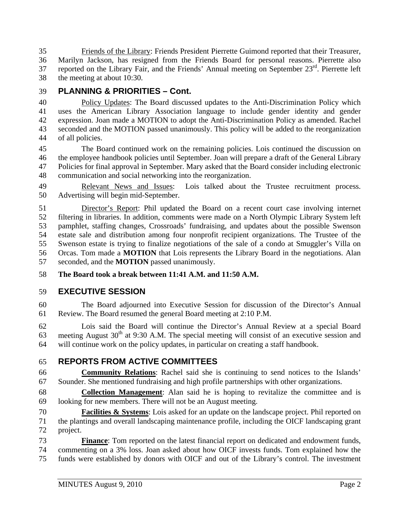35 Friends of the Library: Friends President Pierrette Guimond reported that their Treasurer, 36 Marilyn Jackson, has resigned from the Friends Board for personal reasons. Pierrette also 37 reported on the Library Fair, and the Friends' Annual meeting on September 23<sup>rd</sup>. Pierrette left 38 the meeting at about 10:30.

## 39 **PLANNING & PRIORITIES – Cont.**

40 Policy Updates: The Board discussed updates to the Anti-Discrimination Policy which 41 uses the American Library Association language to include gender identity and gender 42 expression. Joan made a MOTION to adopt the Anti-Discrimination Policy as amended. Rachel 43 seconded and the MOTION passed unanimously. This policy will be added to the reorganization 44 of all policies.

45 The Board continued work on the remaining policies. Lois continued the discussion on 46 the employee handbook policies until September. Joan will prepare a draft of the General Library 47 Policies for final approval in September. Mary asked that the Board consider including electronic 48 communication and social networking into the reorganization.

49 Relevant News and Issues: Lois talked about the Trustee recruitment process. 50 Advertising will begin mid-September.

51 Director's Report: Phil updated the Board on a recent court case involving internet 52 filtering in libraries. In addition, comments were made on a North Olympic Library System left 53 pamphlet, staffing changes, Crossroads' fundraising, and updates about the possible Swenson 54 estate sale and distribution among four nonprofit recipient organizations. The Trustee of the 55 Swenson estate is trying to finalize negotiations of the sale of a condo at Smuggler's Villa on 56 Orcas. Tom made a **MOTION** that Lois represents the Library Board in the negotiations. Alan 57 seconded, and the **MOTION** passed unanimously.

58 **The Board took a break between 11:41 A.M. and 11:50 A.M.** 

# 59 **EXECUTIVE SESSION**

60 The Board adjourned into Executive Session for discussion of the Director's Annual 61 Review. The Board resumed the general Board meeting at 2:10 P.M.

62 Lois said the Board will continue the Director's Annual Review at a special Board 63 meeting August  $30<sup>th</sup>$  at 9:30 A.M. The special meeting will consist of an executive session and 64 will continue work on the policy updates, in particular on creating a staff handbook.

# 65 **REPORTS FROM ACTIVE COMMITTEES**

66 **Community Relations**: Rachel said she is continuing to send notices to the Islands' 67 Sounder. She mentioned fundraising and high profile partnerships with other organizations.

68 **Collection Management**: Alan said he is hoping to revitalize the committee and is 69 looking for new members. There will not be an August meeting.

70 **Facilities & Systems**: Lois asked for an update on the landscape project. Phil reported on 71 the plantings and overall landscaping maintenance profile, including the OICF landscaping grant 72 project.

73 **Finance**: Tom reported on the latest financial report on dedicated and endowment funds, 74 commenting on a 3% loss. Joan asked about how OICF invests funds. Tom explained how the 75 funds were established by donors with OICF and out of the Library's control. The investment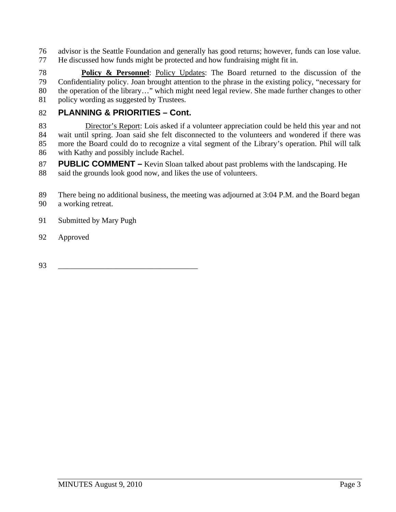76 advisor is the Seattle Foundation and generally has good returns; however, funds can lose value. 77 He discussed how funds might be protected and how fundraising might fit in.

78 **Policy & Personnel**: Policy Updates: The Board returned to the discussion of the 79 Confidentiality policy. Joan brought attention to the phrase in the existing policy, "necessary for 80 the operation of the library…" which might need legal review. She made further changes to other 81 policy wording as suggested by Trustees.

# 82 **PLANNING & PRIORITIES – Cont.**

83 Director's Report: Lois asked if a volunteer appreciation could be held this year and not 84 wait until spring. Joan said she felt disconnected to the volunteers and wondered if there was 85 more the Board could do to recognize a vital segment of the Library's operation. Phil will talk 86 with Kathy and possibly include Rachel.

87 **PUBLIC COMMENT –** Kevin Sloan talked about past problems with the landscaping. He 88 said the grounds look good now, and likes the use of volunteers.

89 There being no additional business, the meeting was adjourned at 3:04 P.M. and the Board began 90 a working retreat.

- 91 Submitted by Mary Pugh
- 92 Approved

93 \_\_\_\_\_\_\_\_\_\_\_\_\_\_\_\_\_\_\_\_\_\_\_\_\_\_\_\_\_\_\_\_\_\_\_\_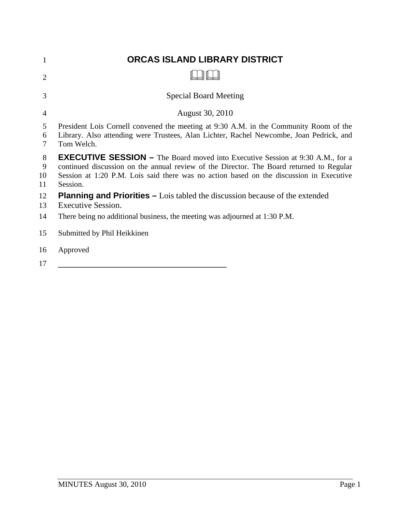| 1                  | ORCAS ISLAND LIBRARY DISTRICT                                                                                                                                                                                                                                                            |
|--------------------|------------------------------------------------------------------------------------------------------------------------------------------------------------------------------------------------------------------------------------------------------------------------------------------|
| 2                  |                                                                                                                                                                                                                                                                                          |
| 3                  | <b>Special Board Meeting</b>                                                                                                                                                                                                                                                             |
| $\overline{4}$     | August 30, 2010                                                                                                                                                                                                                                                                          |
| 5<br>6<br>7        | President Lois Cornell convened the meeting at 9:30 A.M. in the Community Room of the<br>Library. Also attending were Trustees, Alan Lichter, Rachel Newcombe, Joan Pedrick, and<br>Tom Welch.                                                                                           |
| 8<br>9<br>10<br>11 | <b>EXECUTIVE SESSION –</b> The Board moved into Executive Session at 9:30 A.M., for a<br>continued discussion on the annual review of the Director. The Board returned to Regular<br>Session at 1:20 P.M. Lois said there was no action based on the discussion in Executive<br>Session. |
| 12<br>13           | <b>Planning and Priorities –</b> Lois tabled the discussion because of the extended<br>Executive Session.                                                                                                                                                                                |
| 14                 | There being no additional business, the meeting was adjourned at 1:30 P.M.                                                                                                                                                                                                               |
| 15                 | Submitted by Phil Heikkinen                                                                                                                                                                                                                                                              |
| 16                 | Approved                                                                                                                                                                                                                                                                                 |

17 \_\_\_\_\_\_\_\_\_\_\_\_\_\_\_\_\_\_\_\_\_\_\_\_\_\_\_\_\_\_\_\_\_\_\_\_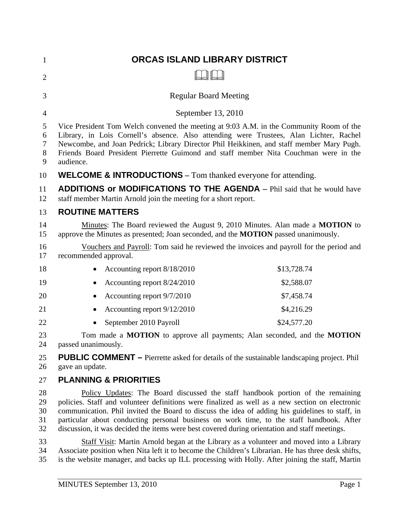| 1                                        | ORCAS ISLAND LIBRARY DISTRICT                                                                                                                                                                                                                                                                                                                                                                                                                                                      |             |
|------------------------------------------|------------------------------------------------------------------------------------------------------------------------------------------------------------------------------------------------------------------------------------------------------------------------------------------------------------------------------------------------------------------------------------------------------------------------------------------------------------------------------------|-------------|
| $\overline{2}$                           |                                                                                                                                                                                                                                                                                                                                                                                                                                                                                    |             |
| 3                                        | <b>Regular Board Meeting</b>                                                                                                                                                                                                                                                                                                                                                                                                                                                       |             |
| $\overline{4}$                           | September 13, 2010                                                                                                                                                                                                                                                                                                                                                                                                                                                                 |             |
| 5<br>6<br>$\boldsymbol{7}$<br>$8\,$<br>9 | Vice President Tom Welch convened the meeting at 9:03 A.M. in the Community Room of the<br>Library, in Lois Cornell's absence. Also attending were Trustees, Alan Lichter, Rachel<br>Newcombe, and Joan Pedrick; Library Director Phil Heikkinen, and staff member Mary Pugh.<br>Friends Board President Pierrette Guimond and staff member Nita Couchman were in the<br>audience.                                                                                                 |             |
| 10                                       | <b>WELCOME &amp; INTRODUCTIONS</b> – Tom thanked everyone for attending.                                                                                                                                                                                                                                                                                                                                                                                                           |             |
| 11<br>12                                 | <b>ADDITIONS or MODIFICATIONS TO THE AGENDA</b> – Phil said that he would have<br>staff member Martin Arnold join the meeting for a short report.                                                                                                                                                                                                                                                                                                                                  |             |
| 13                                       | <b>ROUTINE MATTERS</b>                                                                                                                                                                                                                                                                                                                                                                                                                                                             |             |
| 14<br>15                                 | Minutes: The Board reviewed the August 9, 2010 Minutes. Alan made a MOTION to<br>approve the Minutes as presented; Joan seconded, and the <b>MOTION</b> passed unanimously.                                                                                                                                                                                                                                                                                                        |             |
| 16<br>17                                 | Vouchers and Payroll: Tom said he reviewed the invoices and payroll for the period and<br>recommended approval.                                                                                                                                                                                                                                                                                                                                                                    |             |
| 18                                       | Accounting report 8/18/2010                                                                                                                                                                                                                                                                                                                                                                                                                                                        | \$13,728.74 |
| 19                                       | Accounting report 8/24/2010<br>$\bullet$                                                                                                                                                                                                                                                                                                                                                                                                                                           | \$2,588.07  |
| 20                                       | Accounting report 9/7/2010<br>$\bullet$                                                                                                                                                                                                                                                                                                                                                                                                                                            | \$7,458.74  |
| 21                                       | Accounting report 9/12/2010                                                                                                                                                                                                                                                                                                                                                                                                                                                        | \$4,216.29  |
| 22                                       | September 2010 Payroll                                                                                                                                                                                                                                                                                                                                                                                                                                                             | \$24,577.20 |
| 23<br>24                                 | Tom made a <b>MOTION</b> to approve all payments; Alan seconded, and the <b>MOTION</b><br>passed unanimously.                                                                                                                                                                                                                                                                                                                                                                      |             |
| 25<br>26                                 | <b>PUBLIC COMMENT</b> – Pierrette asked for details of the sustainable landscaping project. Phil<br>gave an update.                                                                                                                                                                                                                                                                                                                                                                |             |
| 27                                       | <b>PLANNING &amp; PRIORITIES</b>                                                                                                                                                                                                                                                                                                                                                                                                                                                   |             |
| 28<br>29<br>30<br>31<br>32               | Policy Updates: The Board discussed the staff handbook portion of the remaining<br>policies. Staff and volunteer definitions were finalized as well as a new section on electronic<br>communication. Phil invited the Board to discuss the idea of adding his guidelines to staff, in<br>particular about conducting personal business on work time, to the staff handbook. After<br>discussion, it was decided the items were best covered during orientation and staff meetings. |             |
| 33<br>34<br>35                           | Staff Visit: Martin Arnold began at the Library as a volunteer and moved into a Library<br>Associate position when Nita left it to become the Children's Librarian. He has three desk shifts,<br>is the website manager, and backs up ILL processing with Holly. After joining the staff, Martin                                                                                                                                                                                   |             |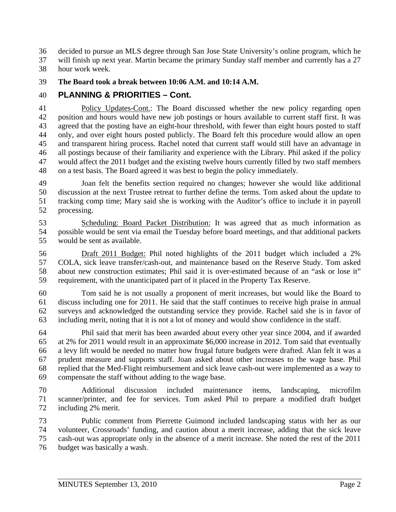36 decided to pursue an MLS degree through San Jose State University's online program, which he

37 will finish up next year. Martin became the primary Sunday staff member and currently has a 27 38 hour work week.

39 **The Board took a break between 10:06 A.M. and 10:14 A.M.** 

# 40 **PLANNING & PRIORITIES – Cont.**

41 Policy Updates-Cont.: The Board discussed whether the new policy regarding open 42 position and hours would have new job postings or hours available to current staff first. It was 43 agreed that the posting have an eight-hour threshold, with fewer than eight hours posted to staff 44 only, and over eight hours posted publicly. The Board felt this procedure would allow an open 45 and transparent hiring process. Rachel noted that current staff would still have an advantage in 46 all postings because of their familiarity and experience with the Library. Phil asked if the policy 47 would affect the 2011 budget and the existing twelve hours currently filled by two staff members 48 on a test basis. The Board agreed it was best to begin the policy immediately.

49 Joan felt the benefits section required no changes; however she would like additional 50 discussion at the next Trustee retreat to further define the terms. Tom asked about the update to 51 tracking comp time; Mary said she is working with the Auditor's office to include it in payroll 52 processing.

53 Scheduling: Board Packet Distribution: It was agreed that as much information as 54 possible would be sent via email the Tuesday before board meetings, and that additional packets 55 would be sent as available.

56 Draft 2011 Budget: Phil noted highlights of the 2011 budget which included a 2% 57 COLA, sick leave transfer/cash-out, and maintenance based on the Reserve Study. Tom asked 58 about new construction estimates; Phil said it is over-estimated because of an "ask or lose it" 59 requirement, with the unanticipated part of it placed in the Property Tax Reserve.

60 Tom said he is not usually a proponent of merit increases, but would like the Board to 61 discuss including one for 2011. He said that the staff continues to receive high praise in annual 62 surveys and acknowledged the outstanding service they provide. Rachel said she is in favor of 63 including merit, noting that it is not a lot of money and would show confidence in the staff.

64 Phil said that merit has been awarded about every other year since 2004, and if awarded 65 at 2% for 2011 would result in an approximate \$6,000 increase in 2012. Tom said that eventually 66 a levy lift would be needed no matter how frugal future budgets were drafted. Alan felt it was a 67 prudent measure and supports staff. Joan asked about other increases to the wage base. Phil 68 replied that the Med-Flight reimbursement and sick leave cash-out were implemented as a way to 69 compensate the staff without adding to the wage base.

70 Additional discussion included maintenance items, landscaping, microfilm 71 scanner/printer, and fee for services. Tom asked Phil to prepare a modified draft budget 72 including 2% merit.

73 Public comment from Pierrette Guimond included landscaping status with her as our 74 volunteer, Crossroads' funding, and caution about a merit increase, adding that the sick leave 75 cash-out was appropriate only in the absence of a merit increase. She noted the rest of the 2011 76 budget was basically a wash.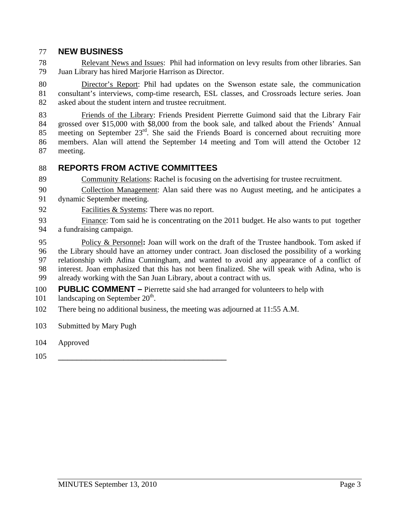#### 77 **NEW BUSINESS**

78 Relevant News and Issues: Phil had information on levy results from other libraries. San 79 Juan Library has hired Marjorie Harrison as Director.

80 Director's Report: Phil had updates on the Swenson estate sale, the communication 81 consultant's interviews, comp-time research, ESL classes, and Crossroads lecture series. Joan 82 asked about the student intern and trustee recruitment.

83 Friends of the Library: Friends President Pierrette Guimond said that the Library Fair 84 grossed over \$15,000 with \$8,000 from the book sale, and talked about the Friends' Annual 85 meeting on September  $23<sup>rd</sup>$ . She said the Friends Board is concerned about recruiting more 86 members. Alan will attend the September 14 meeting and Tom will attend the October 12 87 meeting.

## 88 **REPORTS FROM ACTIVE COMMITTEES**

89 Community Relations: Rachel is focusing on the advertising for trustee recruitment.

90 Collection Management: Alan said there was no August meeting, and he anticipates a 91 dynamic September meeting.

- 92 Facilities & Systems: There was no report.
- 93 Finance: Tom said he is concentrating on the 2011 budget. He also wants to put together 94 a fundraising campaign.

95 Policy & Personnel**:** Joan will work on the draft of the Trustee handbook. Tom asked if 96 the Library should have an attorney under contract. Joan disclosed the possibility of a working 97 relationship with Adina Cunningham, and wanted to avoid any appearance of a conflict of 98 interest. Joan emphasized that this has not been finalized. She will speak with Adina, who is 99 already working with the San Juan Library, about a contract with us.

- 100 **PUBLIC COMMENT –** Pierrette said she had arranged for volunteers to help with
- 101 landscaping on September  $20<sup>th</sup>$ .
- 102 There being no additional business, the meeting was adjourned at 11:55 A.M.
- 103 Submitted by Mary Pugh
- 104 Approved
- 105 \_\_\_\_\_\_\_\_\_\_\_\_\_\_\_\_\_\_\_\_\_\_\_\_\_\_\_\_\_\_\_\_\_\_\_\_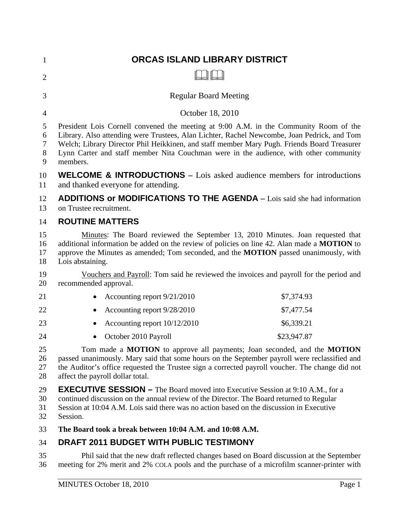| 1                     | ORCAS ISLAND LIBRARY DISTRICT                                                                                                                                                                                                                                                                                                                                                            |
|-----------------------|------------------------------------------------------------------------------------------------------------------------------------------------------------------------------------------------------------------------------------------------------------------------------------------------------------------------------------------------------------------------------------------|
| $\overline{2}$        |                                                                                                                                                                                                                                                                                                                                                                                          |
| 3                     | <b>Regular Board Meeting</b>                                                                                                                                                                                                                                                                                                                                                             |
| 4                     | October 18, 2010                                                                                                                                                                                                                                                                                                                                                                         |
| 5<br>6<br>7<br>8<br>9 | President Lois Cornell convened the meeting at 9:00 A.M. in the Community Room of the<br>Library. Also attending were Trustees, Alan Lichter, Rachel Newcombe, Joan Pedrick, and Tom<br>Welch; Library Director Phil Heikkinen, and staff member Mary Pugh. Friends Board Treasurer<br>Lynn Carter and staff member Nita Couchman were in the audience, with other community<br>members. |
| 10<br>11              | <b>WELCOME &amp; INTRODUCTIONS</b> – Lois asked audience members for introductions<br>and thanked everyone for attending.                                                                                                                                                                                                                                                                |
| 12<br>13              | <b>ADDITIONS or MODIFICATIONS TO THE AGENDA</b> – Lois said she had information<br>on Trustee recruitment.                                                                                                                                                                                                                                                                               |
| 14                    | <b>ROUTINE MATTERS</b>                                                                                                                                                                                                                                                                                                                                                                   |
| 15<br>16<br>17<br>18  | Minutes: The Board reviewed the September 13, 2010 Minutes. Joan requested that<br>additional information be added on the review of policies on line 42. Alan made a MOTION to<br>approve the Minutes as amended; Tom seconded, and the <b>MOTION</b> passed unanimously, with<br>Lois abstaining.                                                                                       |
| 19<br>20              | Vouchers and Payroll: Tom said he reviewed the invoices and payroll for the period and<br>recommended approval.                                                                                                                                                                                                                                                                          |
| 21                    | Accounting report 9/21/2010<br>\$7,374.93<br>$\bullet$                                                                                                                                                                                                                                                                                                                                   |
| 22                    | \$7,477.54<br>Accounting report 9/28/2010                                                                                                                                                                                                                                                                                                                                                |
| 23                    | \$6,339.21<br>Accounting report 10/12/2010                                                                                                                                                                                                                                                                                                                                               |
| 24                    | October 2010 Payroll<br>\$23,947.87                                                                                                                                                                                                                                                                                                                                                      |
| 25<br>26<br>27<br>28  | Tom made a MOTION to approve all payments; Joan seconded, and the MOTION<br>passed unanimously. Mary said that some hours on the September payroll were reclassified and<br>the Auditor's office requested the Trustee sign a corrected payroll voucher. The change did not<br>affect the payroll dollar total.                                                                          |
| 29<br>30<br>31<br>32  | <b>EXECUTIVE SESSION -</b> The Board moved into Executive Session at 9:10 A.M., for a<br>continued discussion on the annual review of the Director. The Board returned to Regular<br>Session at 10:04 A.M. Lois said there was no action based on the discussion in Executive<br>Session.                                                                                                |
| 33                    | The Board took a break between 10:04 A.M. and 10:08 A.M.                                                                                                                                                                                                                                                                                                                                 |
| 34                    | DRAFT 2011 BUDGET WITH PUBLIC TESTIMONY                                                                                                                                                                                                                                                                                                                                                  |

35 Phil said that the new draft reflected changes based on Board discussion at the September 36 meeting for 2% merit and 2% COLA pools and the purchase of a microfilm scanner-printer with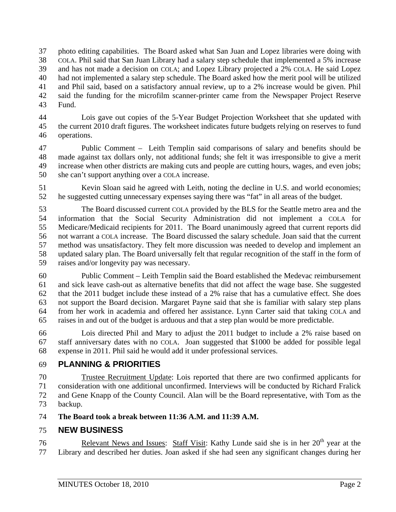37 photo editing capabilities. The Board asked what San Juan and Lopez libraries were doing with 38 COLA. Phil said that San Juan Library had a salary step schedule that implemented a 5% increase 39 and has not made a decision on COLA; and Lopez Library projected a 2% COLA. He said Lopez 40 had not implemented a salary step schedule. The Board asked how the merit pool will be utilized 41 and Phil said, based on a satisfactory annual review, up to a 2% increase would be given. Phil 42 said the funding for the microfilm scanner-printer came from the Newspaper Project Reserve 43 Fund.

44 Lois gave out copies of the 5-Year Budget Projection Worksheet that she updated with 45 the current 2010 draft figures. The worksheet indicates future budgets relying on reserves to fund 46 operations.

47 Public Comment – Leith Templin said comparisons of salary and benefits should be 48 made against tax dollars only, not additional funds; she felt it was irresponsible to give a merit 49 increase when other districts are making cuts and people are cutting hours, wages, and even jobs; 50 she can't support anything over a COLA increase.

51 Kevin Sloan said he agreed with Leith, noting the decline in U.S. and world economies; 52 he suggested cutting unnecessary expenses saying there was "fat" in all areas of the budget.

53 The Board discussed current COLA provided by the BLS for the Seattle metro area and the 54 information that the Social Security Administration did not implement a COLA for 55 Medicare/Medicaid recipients for 2011. The Board unanimously agreed that current reports did 56 not warrant a COLA increase. The Board discussed the salary schedule. Joan said that the current 57 method was unsatisfactory. They felt more discussion was needed to develop and implement an 58 updated salary plan. The Board universally felt that regular recognition of the staff in the form of 59 raises and/or longevity pay was necessary.

60 Public Comment – Leith Templin said the Board established the Medevac reimbursement 61 and sick leave cash-out as alternative benefits that did not affect the wage base. She suggested 62 that the 2011 budget include these instead of a 2% raise that has a cumulative effect. She does 63 not support the Board decision. Margaret Payne said that she is familiar with salary step plans 64 from her work in academia and offered her assistance. Lynn Carter said that taking COLA and 65 raises in and out of the budget is arduous and that a step plan would be more predictable.

66 Lois directed Phil and Mary to adjust the 2011 budget to include a 2% raise based on 67 staff anniversary dates with no COLA. Joan suggested that \$1000 be added for possible legal 68 expense in 2011. Phil said he would add it under professional services.

# 69 **PLANNING & PRIORITIES**

70 Trustee Recruitment Update: Lois reported that there are two confirmed applicants for 71 consideration with one additional unconfirmed. Interviews will be conducted by Richard Fralick 72 and Gene Knapp of the County Council. Alan will be the Board representative, with Tom as the 73 backup.

74 **The Board took a break between 11:36 A.M. and 11:39 A.M.** 

## 75 **NEW BUSINESS**

76 Relevant News and Issues: Staff Visit: Kathy Lunde said she is in her  $20<sup>th</sup>$  year at the 77 Library and described her duties. Joan asked if she had seen any significant changes during her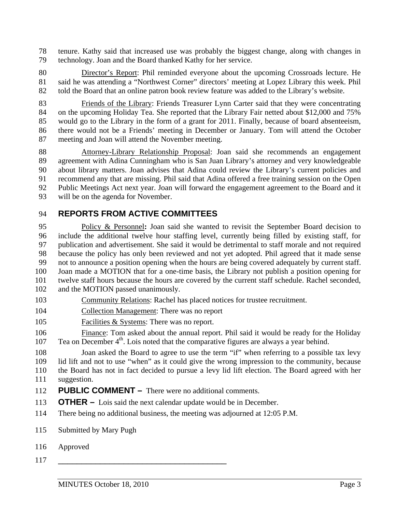78 tenure. Kathy said that increased use was probably the biggest change, along with changes in 79 technology. Joan and the Board thanked Kathy for her service.

80 Director's Report: Phil reminded everyone about the upcoming Crossroads lecture. He 81 said he was attending a "Northwest Corner" directors' meeting at Lopez Library this week. Phil 82 told the Board that an online patron book review feature was added to the Library's website.

83 Friends of the Library: Friends Treasurer Lynn Carter said that they were concentrating 84 on the upcoming Holiday Tea. She reported that the Library Fair netted about \$12,000 and 75% 85 would go to the Library in the form of a grant for 2011. Finally, because of board absenteeism, 86 there would not be a Friends' meeting in December or January. Tom will attend the October 87 meeting and Joan will attend the November meeting.

88 Attorney-Library Relationship Proposal: Joan said she recommends an engagement 89 agreement with Adina Cunningham who is San Juan Library's attorney and very knowledgeable 90 about library matters. Joan advises that Adina could review the Library's current policies and 91 recommend any that are missing. Phil said that Adina offered a free training session on the Open 92 Public Meetings Act next year. Joan will forward the engagement agreement to the Board and it 93 will be on the agenda for November.

## 94 **REPORTS FROM ACTIVE COMMITTEES**

95 Policy & Personnel**:** Joan said she wanted to revisit the September Board decision to 96 include the additional twelve hour staffing level, currently being filled by existing staff, for 97 publication and advertisement. She said it would be detrimental to staff morale and not required 98 because the policy has only been reviewed and not yet adopted. Phil agreed that it made sense 99 not to announce a position opening when the hours are being covered adequately by current staff. 100 Joan made a MOTION that for a one-time basis, the Library not publish a position opening for 101 twelve staff hours because the hours are covered by the current staff schedule. Rachel seconded, 102 and the MOTION passed unanimously.

- 103 Community Relations: Rachel has placed notices for trustee recruitment.
- 104 Collection Management: There was no report
- 105 Facilities & Systems: There was no report.

106 Finance: Tom asked about the annual report. Phil said it would be ready for the Holiday 107 . Tea on December  $4<sup>th</sup>$ . Lois noted that the comparative figures are always a year behind.

108 Joan asked the Board to agree to use the term "if" when referring to a possible tax levy 109 lid lift and not to use "when" as it could give the wrong impression to the community, because 110 the Board has not in fact decided to pursue a levy lid lift election. The Board agreed with her 111 suggestion.

- 112 **PUBLIC COMMENT –** There were no additional comments.
- 113 **OTHER –** Lois said the next calendar update would be in December.
- 114 There being no additional business, the meeting was adjourned at 12:05 P.M.
- 115 Submitted by Mary Pugh
- 116 Approved
- 117 \_\_\_\_\_\_\_\_\_\_\_\_\_\_\_\_\_\_\_\_\_\_\_\_\_\_\_\_\_\_\_\_\_\_\_\_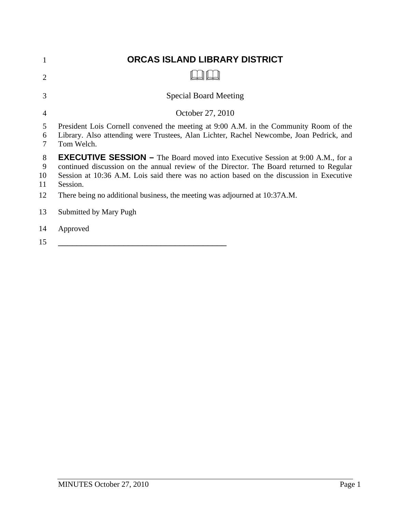| 1                  | ORCAS ISLAND LIBRARY DISTRICT                                                                                                                                                                                                                                                             |
|--------------------|-------------------------------------------------------------------------------------------------------------------------------------------------------------------------------------------------------------------------------------------------------------------------------------------|
| $\overline{2}$     |                                                                                                                                                                                                                                                                                           |
| 3                  | <b>Special Board Meeting</b>                                                                                                                                                                                                                                                              |
| $\overline{4}$     | October 27, 2010                                                                                                                                                                                                                                                                          |
| 5<br>6<br>7        | President Lois Cornell convened the meeting at 9:00 A.M. in the Community Room of the<br>Library. Also attending were Trustees, Alan Lichter, Rachel Newcombe, Joan Pedrick, and<br>Tom Welch.                                                                                            |
| 8<br>9<br>10<br>11 | <b>EXECUTIVE SESSION –</b> The Board moved into Executive Session at 9:00 A.M., for a<br>continued discussion on the annual review of the Director. The Board returned to Regular<br>Session at 10:36 A.M. Lois said there was no action based on the discussion in Executive<br>Session. |
| 12                 | There being no additional business, the meeting was adjourned at 10:37A.M.                                                                                                                                                                                                                |
| 13                 | Submitted by Mary Pugh                                                                                                                                                                                                                                                                    |
| 14<br>15           | Approved                                                                                                                                                                                                                                                                                  |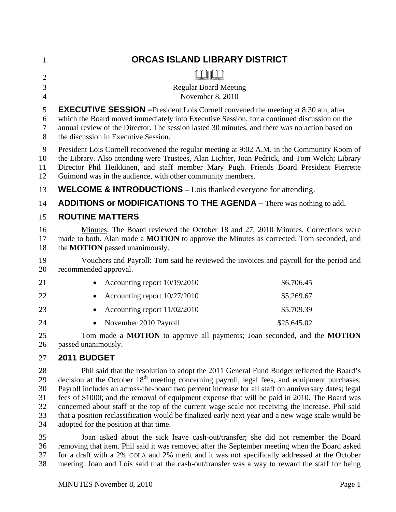| $\mathbf 1$                                        | ORCAS ISLAND LIBRARY DISTRICT                                                                                                                                                                                                                                                                                                                                                                                                                                                                                                                                                                                           |             |  |  |
|----------------------------------------------------|-------------------------------------------------------------------------------------------------------------------------------------------------------------------------------------------------------------------------------------------------------------------------------------------------------------------------------------------------------------------------------------------------------------------------------------------------------------------------------------------------------------------------------------------------------------------------------------------------------------------------|-------------|--|--|
| $\overline{2}$<br>$\mathfrak{Z}$<br>$\overline{4}$ | <b>Regular Board Meeting</b><br>November 8, 2010                                                                                                                                                                                                                                                                                                                                                                                                                                                                                                                                                                        |             |  |  |
| 5<br>6<br>7<br>8                                   | <b>EXECUTIVE SESSION</b> - President Lois Cornell convened the meeting at 8:30 am, after<br>which the Board moved immediately into Executive Session, for a continued discussion on the<br>annual review of the Director. The session lasted 30 minutes, and there was no action based on<br>the discussion in Executive Session.                                                                                                                                                                                                                                                                                       |             |  |  |
| 9<br>10<br>11<br>12                                | President Lois Cornell reconvened the regular meeting at 9:02 A.M. in the Community Room of<br>the Library. Also attending were Trustees, Alan Lichter, Joan Pedrick, and Tom Welch; Library<br>Director Phil Heikkinen, and staff member Mary Pugh. Friends Board President Pierrette<br>Guimond was in the audience, with other community members.                                                                                                                                                                                                                                                                    |             |  |  |
| 13                                                 | <b>WELCOME &amp; INTRODUCTIONS</b> – Lois thanked everyone for attending.                                                                                                                                                                                                                                                                                                                                                                                                                                                                                                                                               |             |  |  |
| 14                                                 | <b>ADDITIONS or MODIFICATIONS TO THE AGENDA</b> - There was nothing to add.                                                                                                                                                                                                                                                                                                                                                                                                                                                                                                                                             |             |  |  |
| 15                                                 | <b>ROUTINE MATTERS</b>                                                                                                                                                                                                                                                                                                                                                                                                                                                                                                                                                                                                  |             |  |  |
| 16<br>17<br>18                                     | Minutes: The Board reviewed the October 18 and 27, 2010 Minutes. Corrections were<br>made to both. Alan made a <b>MOTION</b> to approve the Minutes as corrected; Tom seconded, and<br>the <b>MOTION</b> passed unanimously.                                                                                                                                                                                                                                                                                                                                                                                            |             |  |  |
| 19<br>20                                           | Vouchers and Payroll: Tom said he reviewed the invoices and payroll for the period and<br>recommended approval.                                                                                                                                                                                                                                                                                                                                                                                                                                                                                                         |             |  |  |
| 21                                                 | Accounting report 10/19/2010                                                                                                                                                                                                                                                                                                                                                                                                                                                                                                                                                                                            | \$6,706.45  |  |  |
| 22                                                 | Accounting report 10/27/2010                                                                                                                                                                                                                                                                                                                                                                                                                                                                                                                                                                                            | \$5,269.67  |  |  |
| 23                                                 | Accounting report 11/02/2010                                                                                                                                                                                                                                                                                                                                                                                                                                                                                                                                                                                            | \$5,709.39  |  |  |
| 24                                                 | November 2010 Payroll                                                                                                                                                                                                                                                                                                                                                                                                                                                                                                                                                                                                   | \$25,645.02 |  |  |
| 25<br>26                                           | Tom made a MOTION to approve all payments; Joan seconded, and the MOTION<br>passed unanimously.                                                                                                                                                                                                                                                                                                                                                                                                                                                                                                                         |             |  |  |
| 27                                                 | 2011 BUDGET                                                                                                                                                                                                                                                                                                                                                                                                                                                                                                                                                                                                             |             |  |  |
| 28<br>29<br>30<br>31<br>32<br>33                   | Phil said that the resolution to adopt the 2011 General Fund Budget reflected the Board's<br>decision at the October 18 <sup>th</sup> meeting concerning payroll, legal fees, and equipment purchases.<br>Payroll includes an across-the-board two percent increase for all staff on anniversary dates; legal<br>fees of \$1000; and the removal of equipment expense that will be paid in 2010. The Board was<br>concerned about staff at the top of the current wage scale not receiving the increase. Phil said<br>that a position reclassification would be finalized early next year and a new wage scale would be |             |  |  |

35 Joan asked about the sick leave cash-out/transfer; she did not remember the Board 36 removing that item. Phil said it was removed after the September meeting when the Board asked 37 for a draft with a 2% COLA and 2% merit and it was not specifically addressed at the October 38 meeting. Joan and Lois said that the cash-out/transfer was a way to reward the staff for being

34 adopted for the position at that time.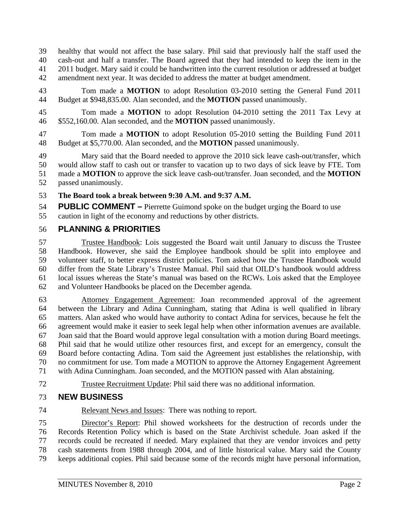39 healthy that would not affect the base salary. Phil said that previously half the staff used the 40 cash-out and half a transfer. The Board agreed that they had intended to keep the item in the 41 2011 budget. Mary said it could be handwritten into the current resolution or addressed at budget 42 amendment next year. It was decided to address the matter at budget amendment.

43 Tom made a **MOTION** to adopt Resolution 03-2010 setting the General Fund 2011 44 Budget at \$948,835.00. Alan seconded, and the **MOTION** passed unanimously.

45 Tom made a **MOTION** to adopt Resolution 04-2010 setting the 2011 Tax Levy at 46 \$552,160.00. Alan seconded, and the **MOTION** passed unanimously.

47 Tom made a **MOTION** to adopt Resolution 05-2010 setting the Building Fund 2011 48 Budget at \$5,770.00. Alan seconded, and the **MOTION** passed unanimously.

49 Mary said that the Board needed to approve the 2010 sick leave cash-out/transfer, which 50 would allow staff to cash out or transfer to vacation up to two days of sick leave by FTE. Tom 51 made a **MOTION** to approve the sick leave cash-out/transfer. Joan seconded, and the **MOTION** 52 passed unanimously.

53 **The Board took a break between 9:30 A.M. and 9:37 A.M.** 

54 **PUBLIC COMMENT –** Pierrette Guimond spoke on the budget urging the Board to use 55 caution in light of the economy and reductions by other districts.

## 56 **PLANNING & PRIORITIES**

57 Trustee Handbook: Lois suggested the Board wait until January to discuss the Trustee 58 Handbook. However, she said the Employee handbook should be split into employee and 59 volunteer staff, to better express district policies. Tom asked how the Trustee Handbook would 60 differ from the State Library's Trustee Manual. Phil said that OILD's handbook would address 61 local issues whereas the State's manual was based on the RCWs. Lois asked that the Employee 62 and Volunteer Handbooks be placed on the December agenda.

63 Attorney Engagement Agreement: Joan recommended approval of the agreement 64 between the Library and Adina Cunningham, stating that Adina is well qualified in library 65 matters. Alan asked who would have authority to contact Adina for services, because he felt the 66 agreement would make it easier to seek legal help when other information avenues are available. 67 Joan said that the Board would approve legal consultation with a motion during Board meetings. 68 Phil said that he would utilize other resources first, and except for an emergency, consult the 69 Board before contacting Adina. Tom said the Agreement just establishes the relationship, with 70 no commitment for use. Tom made a MOTION to approve the Attorney Engagement Agreement 71 with Adina Cunningham. Joan seconded, and the MOTION passed with Alan abstaining.

72 Trustee Recruitment Update: Phil said there was no additional information.

# 73 **NEW BUSINESS**

74 Relevant News and Issues: There was nothing to report.

75 Director's Report: Phil showed worksheets for the destruction of records under the 76 Records Retention Policy which is based on the State Archivist schedule. Joan asked if the 77 records could be recreated if needed. Mary explained that they are vendor invoices and petty 78 cash statements from 1988 through 2004, and of little historical value. Mary said the County 79 keeps additional copies. Phil said because some of the records might have personal information,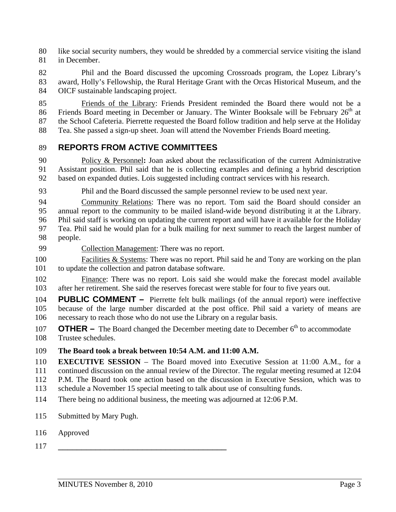80 like social security numbers, they would be shredded by a commercial service visiting the island 81 in December.

82 Phil and the Board discussed the upcoming Crossroads program, the Lopez Library's 83 award, Holly's Fellowship, the Rural Heritage Grant with the Orcas Historical Museum, and the 84 OICF sustainable landscaping project.

85 Friends of the Library: Friends President reminded the Board there would not be a 86 Friends Board meeting in December or January. The Winter Booksale will be February  $26<sup>th</sup>$  at 87 the School Cafeteria. Pierrette requested the Board follow tradition and help serve at the Holiday 88 Tea. She passed a sign-up sheet. Joan will attend the November Friends Board meeting.

## 89 **REPORTS FROM ACTIVE COMMITTEES**

90 Policy & Personnel**:** Joan asked about the reclassification of the current Administrative 91 Assistant position. Phil said that he is collecting examples and defining a hybrid description 92 based on expanded duties. Lois suggested including contract services with his research.

93 Phil and the Board discussed the sample personnel review to be used next year.

94 Community Relations: There was no report. Tom said the Board should consider an 95 annual report to the community to be mailed island-wide beyond distributing it at the Library. 96 Phil said staff is working on updating the current report and will have it available for the Holiday 97 Tea. Phil said he would plan for a bulk mailing for next summer to reach the largest number of 98 people.

- 99 Collection Management: There was no report.
- 100 Facilities & Systems: There was no report. Phil said he and Tony are working on the plan 101 to update the collection and patron database software.
- 102 Finance: There was no report. Lois said she would make the forecast model available 103 after her retirement. She said the reserves forecast were stable for four to five years out.

104 **PUBLIC COMMENT –** Pierrette felt bulk mailings (of the annual report) were ineffective 105 because of the large number discarded at the post office. Phil said a variety of means are 106 necessary to reach those who do not use the Library on a regular basis.

- **OTHER –** The Board changed the December meeting date to December  $6<sup>th</sup>$  to accommodate 108 Trustee schedules.
- 109 **The Board took a break between 10:54 A.M. and 11:00 A.M.**

110 **EXECUTIVE SESSION** – The Board moved into Executive Session at 11:00 A.M., for a 111 continued discussion on the annual review of the Director. The regular meeting resumed at 12:04

- 112 P.M. The Board took one action based on the discussion in Executive Session, which was to
- 113 schedule a November 15 special meeting to talk about use of consulting funds.
- 114 There being no additional business, the meeting was adjourned at 12:06 P.M.
- 115 Submitted by Mary Pugh.
- 116 Approved
- 117 \_\_\_\_\_\_\_\_\_\_\_\_\_\_\_\_\_\_\_\_\_\_\_\_\_\_\_\_\_\_\_\_\_\_\_\_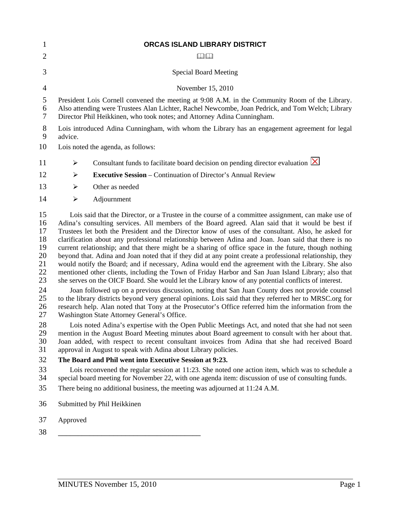| 1                                                                          | ORCAS ISLAND LIBRARY DISTRICT                                                                                                                                                                                                                                                                                                                                                                                                                                                                                                                                                                                                                                                                                                                                                                                                                                                                                                                                                                                                                                                                                                                                                                                                                                                                                                        |                                                                                                                                                                                                         |  |  |
|----------------------------------------------------------------------------|--------------------------------------------------------------------------------------------------------------------------------------------------------------------------------------------------------------------------------------------------------------------------------------------------------------------------------------------------------------------------------------------------------------------------------------------------------------------------------------------------------------------------------------------------------------------------------------------------------------------------------------------------------------------------------------------------------------------------------------------------------------------------------------------------------------------------------------------------------------------------------------------------------------------------------------------------------------------------------------------------------------------------------------------------------------------------------------------------------------------------------------------------------------------------------------------------------------------------------------------------------------------------------------------------------------------------------------|---------------------------------------------------------------------------------------------------------------------------------------------------------------------------------------------------------|--|--|
| $\overline{2}$                                                             |                                                                                                                                                                                                                                                                                                                                                                                                                                                                                                                                                                                                                                                                                                                                                                                                                                                                                                                                                                                                                                                                                                                                                                                                                                                                                                                                      | $\Box$                                                                                                                                                                                                  |  |  |
| 3                                                                          |                                                                                                                                                                                                                                                                                                                                                                                                                                                                                                                                                                                                                                                                                                                                                                                                                                                                                                                                                                                                                                                                                                                                                                                                                                                                                                                                      | <b>Special Board Meeting</b>                                                                                                                                                                            |  |  |
| $\overline{4}$                                                             |                                                                                                                                                                                                                                                                                                                                                                                                                                                                                                                                                                                                                                                                                                                                                                                                                                                                                                                                                                                                                                                                                                                                                                                                                                                                                                                                      | November 15, 2010                                                                                                                                                                                       |  |  |
| 5<br>6<br>7                                                                | President Lois Cornell convened the meeting at 9:08 A.M. in the Community Room of the Library.<br>Also attending were Trustees Alan Lichter, Rachel Newcombe, Joan Pedrick, and Tom Welch; Library<br>Director Phil Heikkinen, who took notes; and Attorney Adina Cunningham.                                                                                                                                                                                                                                                                                                                                                                                                                                                                                                                                                                                                                                                                                                                                                                                                                                                                                                                                                                                                                                                        |                                                                                                                                                                                                         |  |  |
| 8<br>9                                                                     | Lois introduced Adina Cunningham, with whom the Library has an engagement agreement for legal<br>advice.                                                                                                                                                                                                                                                                                                                                                                                                                                                                                                                                                                                                                                                                                                                                                                                                                                                                                                                                                                                                                                                                                                                                                                                                                             |                                                                                                                                                                                                         |  |  |
| 10                                                                         | Lois noted the agenda, as follows:                                                                                                                                                                                                                                                                                                                                                                                                                                                                                                                                                                                                                                                                                                                                                                                                                                                                                                                                                                                                                                                                                                                                                                                                                                                                                                   |                                                                                                                                                                                                         |  |  |
| 11                                                                         | $\blacktriangleright$                                                                                                                                                                                                                                                                                                                                                                                                                                                                                                                                                                                                                                                                                                                                                                                                                                                                                                                                                                                                                                                                                                                                                                                                                                                                                                                | Consultant funds to facilitate board decision on pending director evaluation $[×]$                                                                                                                      |  |  |
| 12                                                                         | $\blacktriangleright$                                                                                                                                                                                                                                                                                                                                                                                                                                                                                                                                                                                                                                                                                                                                                                                                                                                                                                                                                                                                                                                                                                                                                                                                                                                                                                                | <b>Executive Session</b> – Continuation of Director's Annual Review                                                                                                                                     |  |  |
| 13                                                                         | ➤                                                                                                                                                                                                                                                                                                                                                                                                                                                                                                                                                                                                                                                                                                                                                                                                                                                                                                                                                                                                                                                                                                                                                                                                                                                                                                                                    | Other as needed                                                                                                                                                                                         |  |  |
| 14                                                                         | $\blacktriangleright$                                                                                                                                                                                                                                                                                                                                                                                                                                                                                                                                                                                                                                                                                                                                                                                                                                                                                                                                                                                                                                                                                                                                                                                                                                                                                                                | Adjournment                                                                                                                                                                                             |  |  |
| 15<br>16<br>17<br>18<br>19<br>20<br>21<br>22<br>23<br>24<br>25<br>26<br>27 | Lois said that the Director, or a Trustee in the course of a committee assignment, can make use of<br>Adina's consulting services. All members of the Board agreed. Alan said that it would be best if<br>Trustees let both the President and the Director know of uses of the consultant. Also, he asked for<br>clarification about any professional relationship between Adina and Joan. Joan said that there is no<br>current relationship; and that there might be a sharing of office space in the future, though nothing<br>beyond that. Adina and Joan noted that if they did at any point create a professional relationship, they<br>would notify the Board; and if necessary, Adina would end the agreement with the Library. She also<br>mentioned other clients, including the Town of Friday Harbor and San Juan Island Library; also that<br>she serves on the OICF Board. She would let the Library know of any potential conflicts of interest.<br>Joan followed up on a previous discussion, noting that San Juan County does not provide counsel<br>to the library districts beyond very general opinions. Lois said that they referred her to MRSC.org for<br>research help. Alan noted that Tony at the Prosecutor's Office referred him the information from the<br>Washington State Attorney General's Office. |                                                                                                                                                                                                         |  |  |
| 28<br>29<br>30<br>31                                                       | Lois noted Adina's expertise with the Open Public Meetings Act, and noted that she had not seen<br>mention in the August Board Meeting minutes about Board agreement to consult with her about that.<br>Joan added, with respect to recent consultant invoices from Adina that she had received Board<br>approval in August to speak with Adina about Library policies.                                                                                                                                                                                                                                                                                                                                                                                                                                                                                                                                                                                                                                                                                                                                                                                                                                                                                                                                                              |                                                                                                                                                                                                         |  |  |
| 32                                                                         |                                                                                                                                                                                                                                                                                                                                                                                                                                                                                                                                                                                                                                                                                                                                                                                                                                                                                                                                                                                                                                                                                                                                                                                                                                                                                                                                      | The Board and Phil went into Executive Session at 9:23.                                                                                                                                                 |  |  |
| 33<br>34                                                                   |                                                                                                                                                                                                                                                                                                                                                                                                                                                                                                                                                                                                                                                                                                                                                                                                                                                                                                                                                                                                                                                                                                                                                                                                                                                                                                                                      | Lois reconvened the regular session at 11:23. She noted one action item, which was to schedule a<br>special board meeting for November 22, with one agenda item: discussion of use of consulting funds. |  |  |
| 35                                                                         |                                                                                                                                                                                                                                                                                                                                                                                                                                                                                                                                                                                                                                                                                                                                                                                                                                                                                                                                                                                                                                                                                                                                                                                                                                                                                                                                      | There being no additional business, the meeting was adjourned at 11:24 A.M.                                                                                                                             |  |  |
| 36                                                                         |                                                                                                                                                                                                                                                                                                                                                                                                                                                                                                                                                                                                                                                                                                                                                                                                                                                                                                                                                                                                                                                                                                                                                                                                                                                                                                                                      | Submitted by Phil Heikkinen                                                                                                                                                                             |  |  |
| 37                                                                         | Approved                                                                                                                                                                                                                                                                                                                                                                                                                                                                                                                                                                                                                                                                                                                                                                                                                                                                                                                                                                                                                                                                                                                                                                                                                                                                                                                             |                                                                                                                                                                                                         |  |  |
| 38                                                                         |                                                                                                                                                                                                                                                                                                                                                                                                                                                                                                                                                                                                                                                                                                                                                                                                                                                                                                                                                                                                                                                                                                                                                                                                                                                                                                                                      |                                                                                                                                                                                                         |  |  |
|                                                                            |                                                                                                                                                                                                                                                                                                                                                                                                                                                                                                                                                                                                                                                                                                                                                                                                                                                                                                                                                                                                                                                                                                                                                                                                                                                                                                                                      |                                                                                                                                                                                                         |  |  |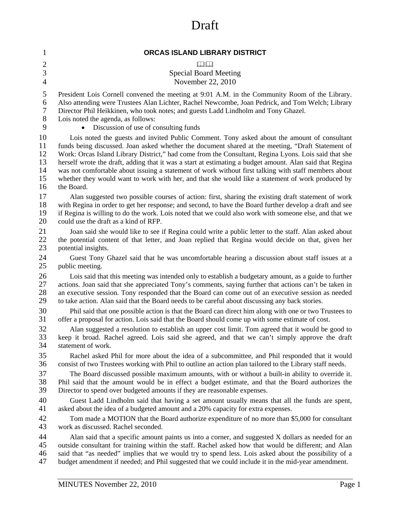# Draft

| $\mathbf{1}$   | ORCAS ISLAND LIBRARY DISTRICT                                                                            |
|----------------|----------------------------------------------------------------------------------------------------------|
| $\mathbf{2}$   | $D - D$                                                                                                  |
| 3              | <b>Special Board Meeting</b>                                                                             |
| $\overline{4}$ | November 22, 2010                                                                                        |
| 5              | President Lois Cornell convened the meeting at 9:01 A.M. in the Community Room of the Library.           |
| 6              | Also attending were Trustees Alan Lichter, Rachel Newcombe, Joan Pedrick, and Tom Welch; Library         |
| $\tau$         | Director Phil Heikkinen, who took notes; and guests Ladd Lindholm and Tony Ghazel.                       |
| 8              | Lois noted the agenda, as follows:                                                                       |
| 9              | Discussion of use of consulting funds                                                                    |
| 10             | Lois noted the guests and invited Public Comment. Tony asked about the amount of consultant              |
| 11             | funds being discussed. Joan asked whether the document shared at the meeting, "Draft Statement of        |
| 12             | Work: Orcas Island Library District," had come from the Consultant, Regina Lyons. Lois said that she     |
| 13             | herself wrote the draft, adding that it was a start at estimating a budget amount. Alan said that Regina |
| 14             | was not comfortable about issuing a statement of work without first talking with staff members about     |
| 15             | whether they would want to work with her, and that she would like a statement of work produced by        |
| 16             | the Board.                                                                                               |
| 17             | Alan suggested two possible courses of action: first, sharing the existing draft statement of work       |
| 18             | with Regina in order to get her response; and second, to have the Board further develop a draft and see  |
| 19             | if Regina is willing to do the work. Lois noted that we could also work with someone else, and that we   |
| 20             | could use the draft as a kind of RFP.                                                                    |
| 21             | Joan said she would like to see if Regina could write a public letter to the staff. Alan asked about     |
| 22             | the potential content of that letter, and Joan replied that Regina would decide on that, given her       |
| 23             | potential insights.                                                                                      |
| 24             | Guest Tony Ghazel said that he was uncomfortable hearing a discussion about staff issues at a            |
| 25             | public meeting.                                                                                          |
| 26             | Lois said that this meeting was intended only to establish a budgetary amount, as a guide to further     |
| 27             | actions. Joan said that she appreciated Tony's comments, saying further that actions can't be taken in   |
| 28             | an executive session. Tony responded that the Board can come out of an executive session as needed       |
| 29             | to take action. Alan said that the Board needs to be careful about discussing any back stories.          |
| 30             | Phil said that one possible action is that the Board can direct him along with one or two Trustees to    |
| 31             | offer a proposal for action. Lois said that the Board should come up with some estimate of cost.         |
| 32             | Alan suggested a resolution to establish an upper cost limit. Tom agreed that it would be good to        |
| 33             | keep it broad. Rachel agreed. Lois said she agreed, and that we can't simply approve the draft           |
| 34             | statement of work.                                                                                       |
| 35             | Rachel asked Phil for more about the idea of a subcommittee, and Phil responded that it would            |
| 36             | consist of two Trustees working with Phil to outline an action plan tailored to the Library staff needs. |
| 37             | The Board discussed possible maximum amounts, with or without a built-in ability to override it.         |
| 38             | Phil said that the amount would be in effect a budget estimate, and that the Board authorizes the        |
| 39             | Director to spend over budgeted amounts if they are reasonable expenses.                                 |
| 40             | Guest Ladd Lindholm said that having a set amount usually means that all the funds are spent,            |
| 41             | asked about the idea of a budgeted amount and a 20% capacity for extra expenses.                         |
| 42             | Tom made a MOTION that the Board authorize expenditure of no more than \$5,000 for consultant            |
| 43             | work as discussed. Rachel seconded.                                                                      |
| 44             | Alan said that a specific amount paints us into a corner, and suggested X dollars as needed for an       |
| 45             | outside consultant for training within the staff. Rachel asked how that would be different; and Alan     |
| 46             | said that "as needed" implies that we would try to spend less. Lois asked about the possibility of a     |
| 47             | budget amendment if needed; and Phil suggested that we could include it in the mid-year amendment.       |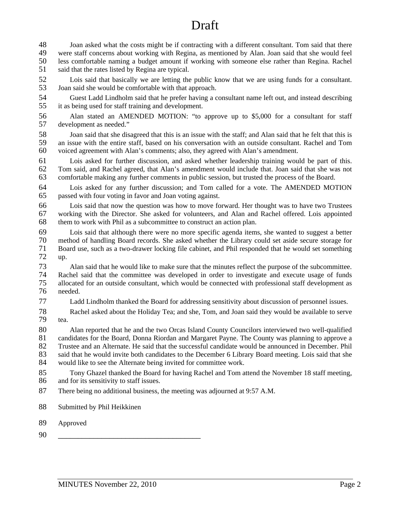# Draft

48 Joan asked what the costs might be if contracting with a different consultant. Tom said that there 49 were staff concerns about working with Regina, as mentioned by Alan. Joan said that she would feel<br>50 less comfortable naming a budget amount if working with someone else rather than Regina. Rachel less comfortable naming a budget amount if working with someone else rather than Regina. Rachel 51 said that the rates listed by Regina are typical.

52 Lois said that basically we are letting the public know that we are using funds for a consultant. 53 Joan said she would be comfortable with that approach.

54 Guest Ladd Lindholm said that he prefer having a consultant name left out, and instead describing 55 it as being used for staff training and development.

56 Alan stated an AMENDED MOTION: "to approve up to \$5,000 for a consultant for staff 57 development as needed."

58 Joan said that she disagreed that this is an issue with the staff; and Alan said that he felt that this is 59 an issue with the entire staff, based on his conversation with an outside consultant. Rachel and Tom 60 voiced agreement with Alan's comments; also, they agreed with Alan's amendment.

61 Lois asked for further discussion, and asked whether leadership training would be part of this. 62 Tom said, and Rachel agreed, that Alan's amendment would include that. Joan said that she was not 63 comfortable making any further comments in public session, but trusted the process of the Board.

64 Lois asked for any further discussion; and Tom called for a vote. The AMENDED MOTION 65 passed with four voting in favor and Joan voting against.

66 Lois said that now the question was how to move forward. Her thought was to have two Trustees 67 working with the Director. She asked for volunteers, and Alan and Rachel offered. Lois appointed 68 them to work with Phil as a subcommittee to construct an action plan.

69 Lois said that although there were no more specific agenda items, she wanted to suggest a better 70 method of handling Board records. She asked whether the Library could set aside secure storage for 71 Board use, such as a two-drawer locking file cabinet, and Phil responded that he would set something 72 up.

73 Alan said that he would like to make sure that the minutes reflect the purpose of the subcommittee. 74 Rachel said that the committee was developed in order to investigate and execute usage of funds<br>75 allocated for an outside consultant, which would be connected with professional staff development as allocated for an outside consultant, which would be connected with professional staff development as 76 needed.

77 Ladd Lindholm thanked the Board for addressing sensitivity about discussion of personnel issues.

78 Rachel asked about the Holiday Tea; and she, Tom, and Joan said they would be available to serve 79 tea.

80 Alan reported that he and the two Orcas Island County Councilors interviewed two well-qualified<br>81 candidates for the Board, Donna Riordan and Margaret Payne. The County was planning to approve a candidates for the Board, Donna Riordan and Margaret Payne. The County was planning to approve a 82 Trustee and an Alternate. He said that the successful candidate would be announced in December. Phil 83 said that he would invite both candidates to the December 6 Library Board meeting. Lois said that she would like to see the Alternate being invited for committee work. would like to see the Alternate being invited for committee work.

85 Tony Ghazel thanked the Board for having Rachel and Tom attend the November 18 staff meeting, 86 and for its sensitivity to staff issues.

87 There being no additional business, the meeting was adjourned at 9:57 A.M.

88 Submitted by Phil Heikkinen

89 Approved

90 \_\_\_\_\_\_\_\_\_\_\_\_\_\_\_\_\_\_\_\_\_\_\_\_\_\_\_\_\_\_\_\_\_\_\_\_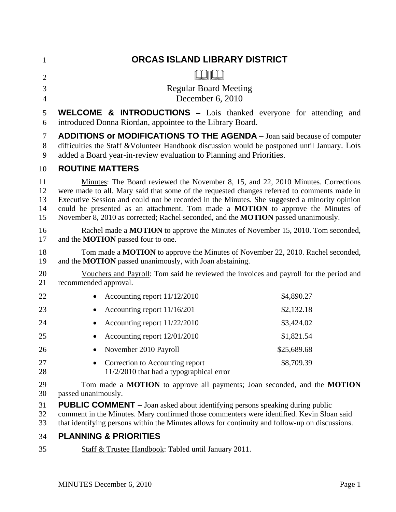| $\mathbf{1}$                  | ORCAS ISLAND LIBRARY DISTRICT                                                                                                                                                                                                                                                                                                                                                                                                                                            |             |  |
|-------------------------------|--------------------------------------------------------------------------------------------------------------------------------------------------------------------------------------------------------------------------------------------------------------------------------------------------------------------------------------------------------------------------------------------------------------------------------------------------------------------------|-------------|--|
| $\overline{2}$                |                                                                                                                                                                                                                                                                                                                                                                                                                                                                          |             |  |
| 3                             | <b>Regular Board Meeting</b>                                                                                                                                                                                                                                                                                                                                                                                                                                             |             |  |
| $\overline{4}$                | December 6, 2010                                                                                                                                                                                                                                                                                                                                                                                                                                                         |             |  |
| 5<br>6                        | <b>WELCOME &amp; INTRODUCTIONS</b> - Lois thanked everyone for attending and<br>introduced Donna Riordan, appointee to the Library Board.                                                                                                                                                                                                                                                                                                                                |             |  |
| $\tau$<br>$8\phantom{.}$<br>9 | <b>ADDITIONS or MODIFICATIONS TO THE AGENDA</b> - Joan said because of computer<br>difficulties the Staff & Volunteer Handbook discussion would be postponed until January. Lois<br>added a Board year-in-review evaluation to Planning and Priorities.                                                                                                                                                                                                                  |             |  |
| 10                            | <b>ROUTINE MATTERS</b>                                                                                                                                                                                                                                                                                                                                                                                                                                                   |             |  |
| 11<br>12<br>13<br>14<br>15    | Minutes: The Board reviewed the November 8, 15, and 22, 2010 Minutes. Corrections<br>were made to all. Mary said that some of the requested changes referred to comments made in<br>Executive Session and could not be recorded in the Minutes. She suggested a minority opinion<br>could be presented as an attachment. Tom made a <b>MOTION</b> to approve the Minutes of<br>November 8, 2010 as corrected; Rachel seconded, and the <b>MOTION</b> passed unanimously. |             |  |
| 16<br>17                      | Rachel made a MOTION to approve the Minutes of November 15, 2010. Tom seconded,<br>and the <b>MOTION</b> passed four to one.                                                                                                                                                                                                                                                                                                                                             |             |  |
| 18<br>19                      | Tom made a MOTION to approve the Minutes of November 22, 2010. Rachel seconded,<br>and the MOTION passed unanimously, with Joan abstaining.                                                                                                                                                                                                                                                                                                                              |             |  |
| 20<br>21                      | Vouchers and Payroll: Tom said he reviewed the invoices and payroll for the period and<br>recommended approval.                                                                                                                                                                                                                                                                                                                                                          |             |  |
| 22                            | Accounting report 11/12/2010                                                                                                                                                                                                                                                                                                                                                                                                                                             | \$4,890.27  |  |
| 23                            | Accounting report 11/16/201<br>$\bullet$                                                                                                                                                                                                                                                                                                                                                                                                                                 | \$2,132.18  |  |
| 24                            | Accounting report 11/22/2010<br>$\bullet$                                                                                                                                                                                                                                                                                                                                                                                                                                | \$3,424.02  |  |
| 25                            | Accounting report 12/01/2010                                                                                                                                                                                                                                                                                                                                                                                                                                             | \$1,821.54  |  |
| 26                            | November 2010 Payroll                                                                                                                                                                                                                                                                                                                                                                                                                                                    | \$25,689.68 |  |
| 27<br>28                      | Correction to Accounting report<br>$11/2/2010$ that had a typographical error                                                                                                                                                                                                                                                                                                                                                                                            | \$8,709.39  |  |
| 29<br>30                      | Tom made a MOTION to approve all payments; Joan seconded, and the MOTION<br>passed unanimously.                                                                                                                                                                                                                                                                                                                                                                          |             |  |
| 31<br>32<br>33                | <b>PUBLIC COMMENT</b> - Joan asked about identifying persons speaking during public<br>comment in the Minutes. Mary confirmed those commenters were identified. Kevin Sloan said<br>that identifying persons within the Minutes allows for continuity and follow-up on discussions.                                                                                                                                                                                      |             |  |
| 34                            | <b>PLANNING &amp; PRIORITIES</b>                                                                                                                                                                                                                                                                                                                                                                                                                                         |             |  |

35 Staff & Trustee Handbook: Tabled until January 2011.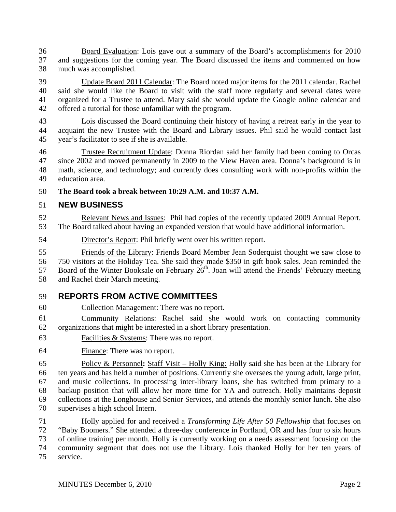36 Board Evaluation: Lois gave out a summary of the Board's accomplishments for 2010 37 and suggestions for the coming year. The Board discussed the items and commented on how 38 much was accomplished.

39 Update Board 2011 Calendar: The Board noted major items for the 2011 calendar. Rachel 40 said she would like the Board to visit with the staff more regularly and several dates were 41 organized for a Trustee to attend. Mary said she would update the Google online calendar and 42 offered a tutorial for those unfamiliar with the program.

43 Lois discussed the Board continuing their history of having a retreat early in the year to 44 acquaint the new Trustee with the Board and Library issues. Phil said he would contact last 45 year's facilitator to see if she is available.

46 Trustee Recruitment Update: Donna Riordan said her family had been coming to Orcas 47 since 2002 and moved permanently in 2009 to the View Haven area. Donna's background is in 48 math, science, and technology; and currently does consulting work with non-profits within the 49 education area.

## 50 **The Board took a break between 10:29 A.M. and 10:37 A.M.**

## 51 **NEW BUSINESS**

52 Relevant News and Issues: Phil had copies of the recently updated 2009 Annual Report. 53 The Board talked about having an expanded version that would have additional information.

54 Director's Report: Phil briefly went over his written report.

55 Friends of the Library: Friends Board Member Jean Soderquist thought we saw close to 56 750 visitors at the Holiday Tea. She said they made \$350 in gift book sales. Jean reminded the 57 Board of the Winter Booksale on February  $26<sup>th</sup>$ . Joan will attend the Friends' February meeting 58 and Rachel their March meeting.

## 59 **REPORTS FROM ACTIVE COMMITTEES**

60 Collection Management: There was no report.

61 Community Relations: Rachel said she would work on contacting community 62 organizations that might be interested in a short library presentation.

- 63 Facilities & Systems: There was no report.
- 64 Finance: There was no report.

65 Policy & Personnel**:** Staff Visit – Holly King: Holly said she has been at the Library for 66 ten years and has held a number of positions. Currently she oversees the young adult, large print, 67 and music collections. In processing inter-library loans, she has switched from primary to a 68 backup position that will allow her more time for YA and outreach. Holly maintains deposit 69 collections at the Longhouse and Senior Services, and attends the monthly senior lunch. She also 70 supervises a high school Intern.

71 Holly applied for and received a *Transforming Life After 50 Fellowship* that focuses on 72 "Baby Boomers." She attended a three-day conference in Portland, OR and has four to six hours 73 of online training per month. Holly is currently working on a needs assessment focusing on the 74 community segment that does not use the Library. Lois thanked Holly for her ten years of 75 service.